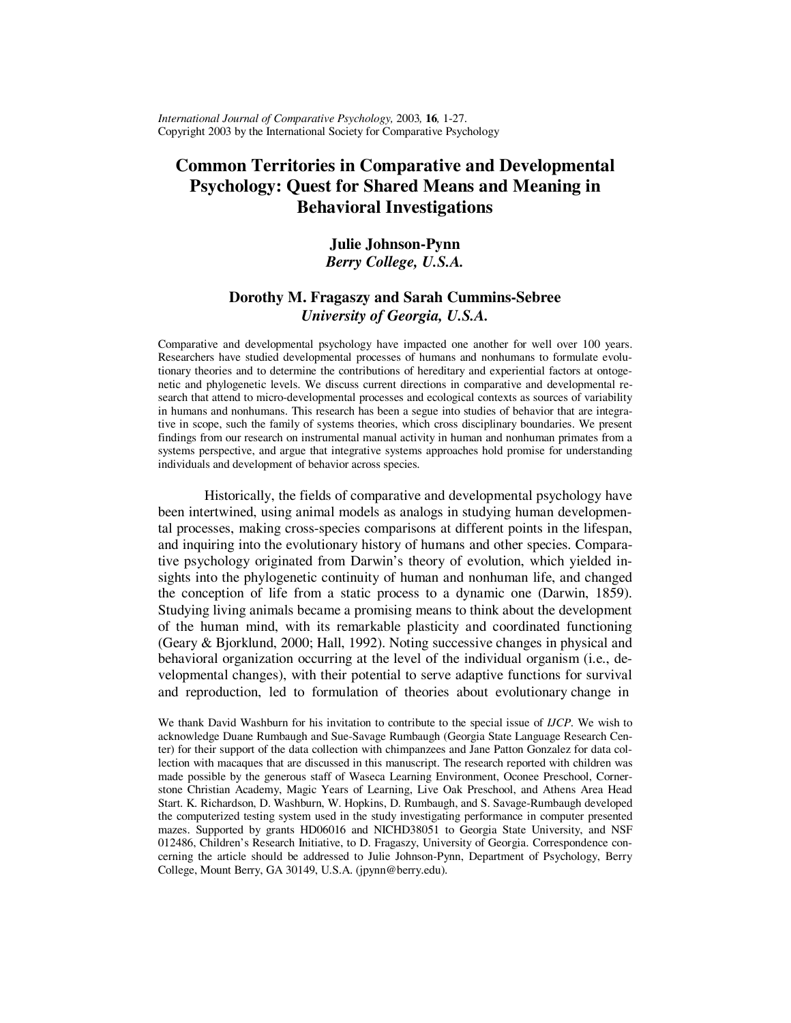*International Journal of Comparative Psychology,* 2003*,* **16***,* 1-27. Copyright 2003 by the International Society for Comparative Psychology

# **Common Territories in Comparative and Developmental Psychology: Quest for Shared Means and Meaning in Behavioral Investigations**

## **Julie Johnson-Pynn**  *Berry College, U.S.A.*

## **Dorothy M. Fragaszy and Sarah Cummins-Sebree**  *University of Georgia, U.S.A.*

Comparative and developmental psychology have impacted one another for well over 100 years. Researchers have studied developmental processes of humans and nonhumans to formulate evolutionary theories and to determine the contributions of hereditary and experiential factors at ontogenetic and phylogenetic levels. We discuss current directions in comparative and developmental research that attend to micro-developmental processes and ecological contexts as sources of variability in humans and nonhumans. This research has been a segue into studies of behavior that are integrative in scope, such the family of systems theories, which cross disciplinary boundaries. We present findings from our research on instrumental manual activity in human and nonhuman primates from a systems perspective, and argue that integrative systems approaches hold promise for understanding individuals and development of behavior across species.

Historically, the fields of comparative and developmental psychology have been intertwined, using animal models as analogs in studying human developmental processes, making cross-species comparisons at different points in the lifespan, and inquiring into the evolutionary history of humans and other species. Comparative psychology originated from Darwin's theory of evolution, which yielded insights into the phylogenetic continuity of human and nonhuman life, and changed the conception of life from a static process to a dynamic one (Darwin, 1859). Studying living animals became a promising means to think about the development of the human mind, with its remarkable plasticity and coordinated functioning (Geary & Bjorklund, 2000; Hall, 1992). Noting successive changes in physical and behavioral organization occurring at the level of the individual organism (i.e., developmental changes), with their potential to serve adaptive functions for survival and reproduction, led to formulation of theories about evolutionary change in

We thank David Washburn for his invitation to contribute to the special issue of *IJCP*. We wish to acknowledge Duane Rumbaugh and Sue-Savage Rumbaugh (Georgia State Language Research Center) for their support of the data collection with chimpanzees and Jane Patton Gonzalez for data collection with macaques that are discussed in this manuscript. The research reported with children was made possible by the generous staff of Waseca Learning Environment, Oconee Preschool, Cornerstone Christian Academy, Magic Years of Learning, Live Oak Preschool, and Athens Area Head Start. K. Richardson, D. Washburn, W. Hopkins, D. Rumbaugh, and S. Savage-Rumbaugh developed the computerized testing system used in the study investigating performance in computer presented mazes. Supported by grants HD06016 and NICHD38051 to Georgia State University, and NSF 012486, Children's Research Initiative, to D. Fragaszy, University of Georgia. Correspondence concerning the article should be addressed to Julie Johnson-Pynn, Department of Psychology, Berry College, Mount Berry, GA 30149, U.S.A. (jpynn@berry.edu).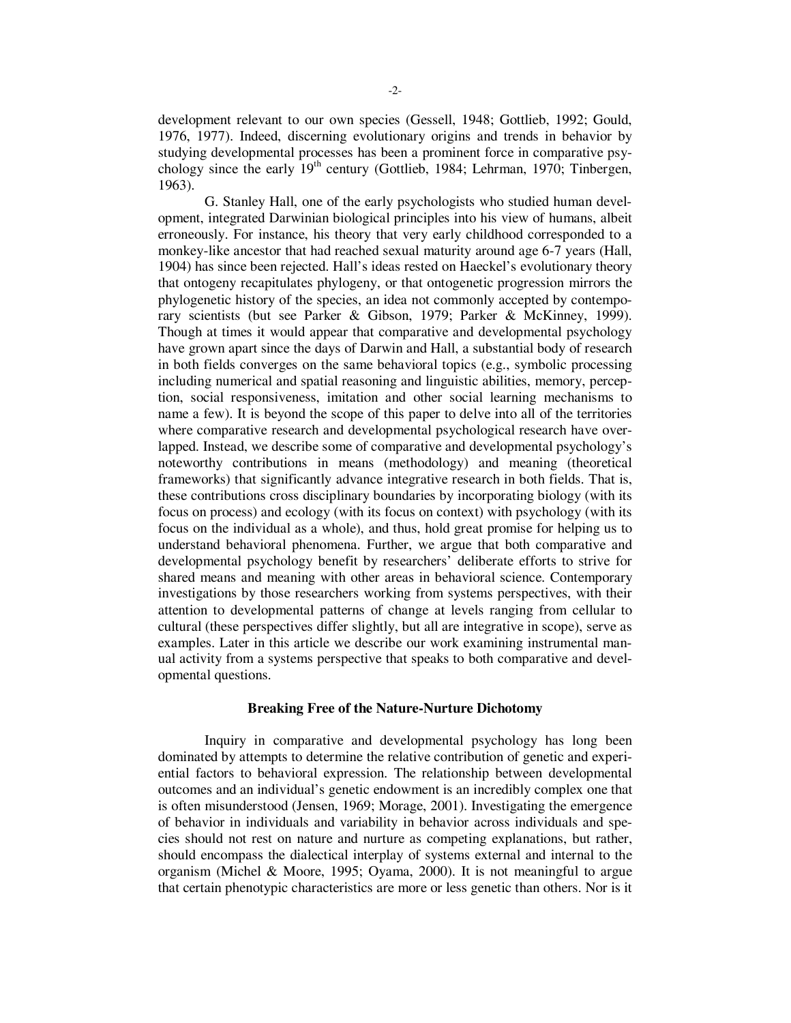development relevant to our own species (Gessell, 1948; Gottlieb, 1992; Gould, 1976, 1977). Indeed, discerning evolutionary origins and trends in behavior by studying developmental processes has been a prominent force in comparative psychology since the early  $19<sup>th</sup>$  century (Gottlieb, 1984; Lehrman, 1970; Tinbergen, 1963).

G. Stanley Hall, one of the early psychologists who studied human development, integrated Darwinian biological principles into his view of humans, albeit erroneously. For instance, his theory that very early childhood corresponded to a monkey-like ancestor that had reached sexual maturity around age 6-7 years (Hall, 1904) has since been rejected. Hall's ideas rested on Haeckel's evolutionary theory that ontogeny recapitulates phylogeny, or that ontogenetic progression mirrors the phylogenetic history of the species, an idea not commonly accepted by contemporary scientists (but see Parker & Gibson, 1979; Parker & McKinney, 1999). Though at times it would appear that comparative and developmental psychology have grown apart since the days of Darwin and Hall, a substantial body of research in both fields converges on the same behavioral topics (e.g., symbolic processing including numerical and spatial reasoning and linguistic abilities, memory, perception, social responsiveness, imitation and other social learning mechanisms to name a few). It is beyond the scope of this paper to delve into all of the territories where comparative research and developmental psychological research have overlapped. Instead, we describe some of comparative and developmental psychology's noteworthy contributions in means (methodology) and meaning (theoretical frameworks) that significantly advance integrative research in both fields. That is, these contributions cross disciplinary boundaries by incorporating biology (with its focus on process) and ecology (with its focus on context) with psychology (with its focus on the individual as a whole), and thus, hold great promise for helping us to understand behavioral phenomena. Further, we argue that both comparative and developmental psychology benefit by researchers' deliberate efforts to strive for shared means and meaning with other areas in behavioral science. Contemporary investigations by those researchers working from systems perspectives, with their attention to developmental patterns of change at levels ranging from cellular to cultural (these perspectives differ slightly, but all are integrative in scope), serve as examples. Later in this article we describe our work examining instrumental manual activity from a systems perspective that speaks to both comparative and developmental questions.

#### **Breaking Free of the Nature-Nurture Dichotomy**

Inquiry in comparative and developmental psychology has long been dominated by attempts to determine the relative contribution of genetic and experiential factors to behavioral expression. The relationship between developmental outcomes and an individual's genetic endowment is an incredibly complex one that is often misunderstood (Jensen, 1969; Morage, 2001). Investigating the emergence of behavior in individuals and variability in behavior across individuals and species should not rest on nature and nurture as competing explanations, but rather, should encompass the dialectical interplay of systems external and internal to the organism (Michel & Moore, 1995; Oyama, 2000). It is not meaningful to argue that certain phenotypic characteristics are more or less genetic than others. Nor is it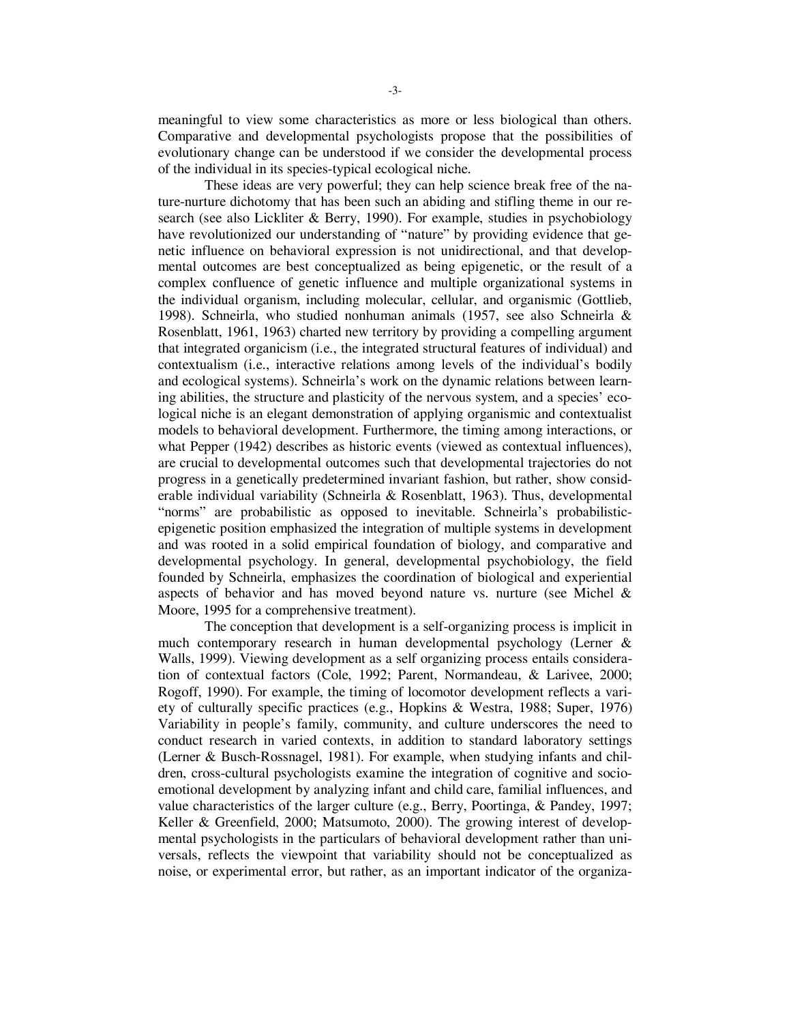meaningful to view some characteristics as more or less biological than others. Comparative and developmental psychologists propose that the possibilities of evolutionary change can be understood if we consider the developmental process of the individual in its species-typical ecological niche.

These ideas are very powerful; they can help science break free of the nature-nurture dichotomy that has been such an abiding and stifling theme in our research (see also Lickliter & Berry, 1990). For example, studies in psychobiology have revolutionized our understanding of "nature" by providing evidence that genetic influence on behavioral expression is not unidirectional, and that developmental outcomes are best conceptualized as being epigenetic, or the result of a complex confluence of genetic influence and multiple organizational systems in the individual organism, including molecular, cellular, and organismic (Gottlieb, 1998). Schneirla, who studied nonhuman animals (1957, see also Schneirla & Rosenblatt, 1961, 1963) charted new territory by providing a compelling argument that integrated organicism (i.e., the integrated structural features of individual) and contextualism (i.e., interactive relations among levels of the individual's bodily and ecological systems). Schneirla's work on the dynamic relations between learning abilities, the structure and plasticity of the nervous system, and a species' ecological niche is an elegant demonstration of applying organismic and contextualist models to behavioral development. Furthermore, the timing among interactions, or what Pepper (1942) describes as historic events (viewed as contextual influences), are crucial to developmental outcomes such that developmental trajectories do not progress in a genetically predetermined invariant fashion, but rather, show considerable individual variability (Schneirla & Rosenblatt, 1963). Thus, developmental "norms" are probabilistic as opposed to inevitable. Schneirla's probabilisticepigenetic position emphasized the integration of multiple systems in development and was rooted in a solid empirical foundation of biology, and comparative and developmental psychology. In general, developmental psychobiology, the field founded by Schneirla, emphasizes the coordination of biological and experiential aspects of behavior and has moved beyond nature vs. nurture (see Michel  $\&$ Moore, 1995 for a comprehensive treatment).

The conception that development is a self-organizing process is implicit in much contemporary research in human developmental psychology (Lerner & Walls, 1999). Viewing development as a self organizing process entails consideration of contextual factors (Cole, 1992; Parent, Normandeau, & Larivee, 2000; Rogoff, 1990). For example, the timing of locomotor development reflects a variety of culturally specific practices (e.g., Hopkins & Westra, 1988; Super, 1976) Variability in people's family, community, and culture underscores the need to conduct research in varied contexts, in addition to standard laboratory settings (Lerner & Busch-Rossnagel, 1981). For example, when studying infants and children, cross-cultural psychologists examine the integration of cognitive and socioemotional development by analyzing infant and child care, familial influences, and value characteristics of the larger culture (e.g., Berry, Poortinga, & Pandey, 1997; Keller & Greenfield, 2000; Matsumoto, 2000). The growing interest of developmental psychologists in the particulars of behavioral development rather than universals, reflects the viewpoint that variability should not be conceptualized as noise, or experimental error, but rather, as an important indicator of the organiza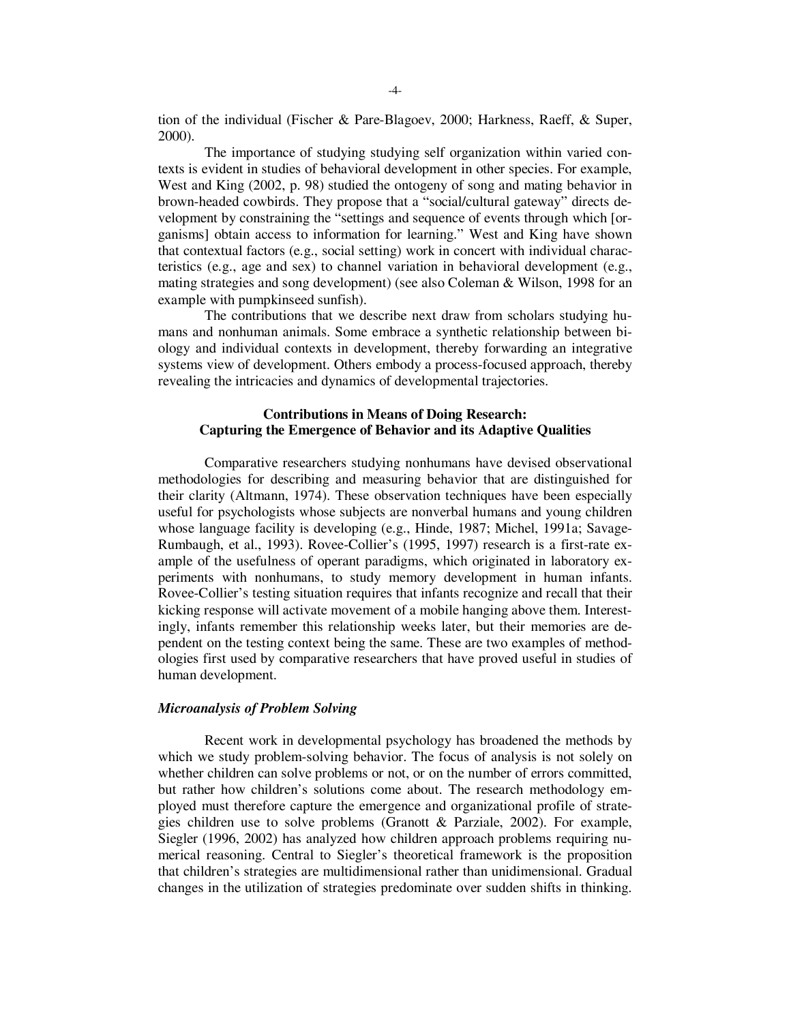tion of the individual (Fischer & Pare-Blagoev, 2000; Harkness, Raeff, & Super, 2000).

The importance of studying studying self organization within varied contexts is evident in studies of behavioral development in other species. For example, West and King (2002, p. 98) studied the ontogeny of song and mating behavior in brown-headed cowbirds. They propose that a "social/cultural gateway" directs development by constraining the "settings and sequence of events through which [organisms] obtain access to information for learning." West and King have shown that contextual factors (e.g., social setting) work in concert with individual characteristics (e.g., age and sex) to channel variation in behavioral development (e.g., mating strategies and song development) (see also Coleman & Wilson, 1998 for an example with pumpkinseed sunfish).

The contributions that we describe next draw from scholars studying humans and nonhuman animals. Some embrace a synthetic relationship between biology and individual contexts in development, thereby forwarding an integrative systems view of development. Others embody a process-focused approach, thereby revealing the intricacies and dynamics of developmental trajectories.

## **Contributions in Means of Doing Research: Capturing the Emergence of Behavior and its Adaptive Qualities**

Comparative researchers studying nonhumans have devised observational methodologies for describing and measuring behavior that are distinguished for their clarity (Altmann, 1974). These observation techniques have been especially useful for psychologists whose subjects are nonverbal humans and young children whose language facility is developing (e.g., Hinde, 1987; Michel, 1991a; Savage-Rumbaugh, et al., 1993). Rovee-Collier's (1995, 1997) research is a first-rate example of the usefulness of operant paradigms, which originated in laboratory experiments with nonhumans, to study memory development in human infants. Rovee-Collier's testing situation requires that infants recognize and recall that their kicking response will activate movement of a mobile hanging above them. Interestingly, infants remember this relationship weeks later, but their memories are dependent on the testing context being the same. These are two examples of methodologies first used by comparative researchers that have proved useful in studies of human development.

#### *Microanalysis of Problem Solving*

Recent work in developmental psychology has broadened the methods by which we study problem-solving behavior. The focus of analysis is not solely on whether children can solve problems or not, or on the number of errors committed, but rather how children's solutions come about. The research methodology employed must therefore capture the emergence and organizational profile of strategies children use to solve problems (Granott & Parziale, 2002). For example, Siegler (1996, 2002) has analyzed how children approach problems requiring numerical reasoning. Central to Siegler's theoretical framework is the proposition that children's strategies are multidimensional rather than unidimensional. Gradual changes in the utilization of strategies predominate over sudden shifts in thinking.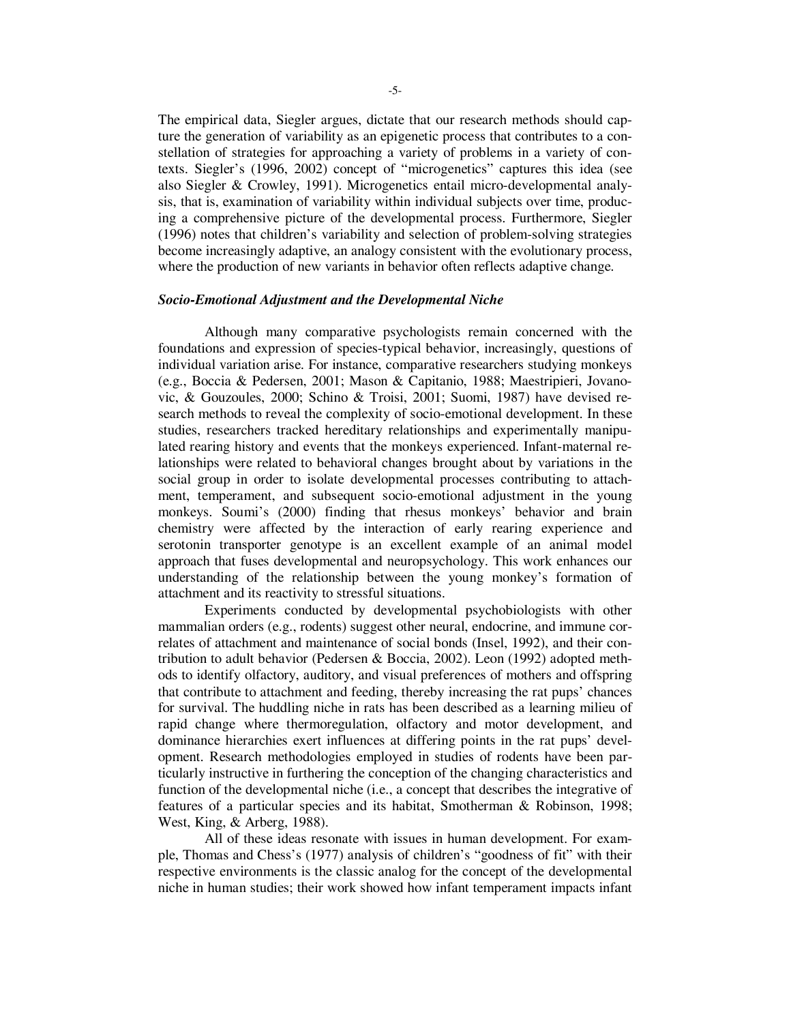The empirical data, Siegler argues, dictate that our research methods should capture the generation of variability as an epigenetic process that contributes to a constellation of strategies for approaching a variety of problems in a variety of contexts. Siegler's (1996, 2002) concept of "microgenetics" captures this idea (see also Siegler & Crowley, 1991). Microgenetics entail micro-developmental analysis, that is, examination of variability within individual subjects over time, producing a comprehensive picture of the developmental process. Furthermore, Siegler (1996) notes that children's variability and selection of problem-solving strategies become increasingly adaptive, an analogy consistent with the evolutionary process, where the production of new variants in behavior often reflects adaptive change.

#### *Socio-Emotional Adjustment and the Developmental Niche*

Although many comparative psychologists remain concerned with the foundations and expression of species-typical behavior, increasingly, questions of individual variation arise. For instance, comparative researchers studying monkeys (e.g., Boccia & Pedersen, 2001; Mason & Capitanio, 1988; Maestripieri, Jovanovic, & Gouzoules, 2000; Schino & Troisi, 2001; Suomi, 1987) have devised research methods to reveal the complexity of socio-emotional development. In these studies, researchers tracked hereditary relationships and experimentally manipulated rearing history and events that the monkeys experienced. Infant-maternal relationships were related to behavioral changes brought about by variations in the social group in order to isolate developmental processes contributing to attachment, temperament, and subsequent socio-emotional adjustment in the young monkeys. Soumi's (2000) finding that rhesus monkeys' behavior and brain chemistry were affected by the interaction of early rearing experience and serotonin transporter genotype is an excellent example of an animal model approach that fuses developmental and neuropsychology. This work enhances our understanding of the relationship between the young monkey's formation of attachment and its reactivity to stressful situations.

Experiments conducted by developmental psychobiologists with other mammalian orders (e.g., rodents) suggest other neural, endocrine, and immune correlates of attachment and maintenance of social bonds (Insel, 1992), and their contribution to adult behavior (Pedersen & Boccia, 2002). Leon (1992) adopted methods to identify olfactory, auditory, and visual preferences of mothers and offspring that contribute to attachment and feeding, thereby increasing the rat pups' chances for survival. The huddling niche in rats has been described as a learning milieu of rapid change where thermoregulation, olfactory and motor development, and dominance hierarchies exert influences at differing points in the rat pups' development. Research methodologies employed in studies of rodents have been particularly instructive in furthering the conception of the changing characteristics and function of the developmental niche (i.e., a concept that describes the integrative of features of a particular species and its habitat, Smotherman & Robinson, 1998; West, King, & Arberg, 1988).

All of these ideas resonate with issues in human development. For example, Thomas and Chess's (1977) analysis of children's "goodness of fit" with their respective environments is the classic analog for the concept of the developmental niche in human studies; their work showed how infant temperament impacts infant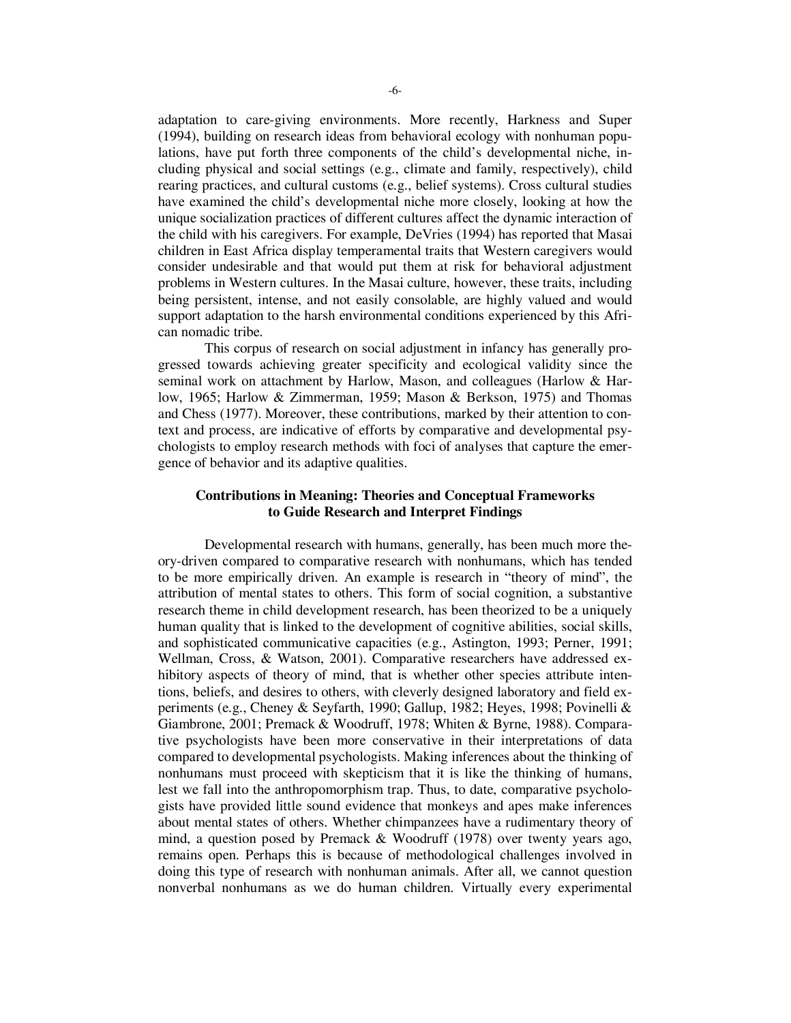adaptation to care-giving environments. More recently, Harkness and Super (1994), building on research ideas from behavioral ecology with nonhuman populations, have put forth three components of the child's developmental niche, including physical and social settings (e.g., climate and family, respectively), child rearing practices, and cultural customs (e.g., belief systems). Cross cultural studies have examined the child's developmental niche more closely, looking at how the unique socialization practices of different cultures affect the dynamic interaction of the child with his caregivers. For example, DeVries (1994) has reported that Masai children in East Africa display temperamental traits that Western caregivers would consider undesirable and that would put them at risk for behavioral adjustment problems in Western cultures. In the Masai culture, however, these traits, including being persistent, intense, and not easily consolable, are highly valued and would support adaptation to the harsh environmental conditions experienced by this African nomadic tribe.

This corpus of research on social adjustment in infancy has generally progressed towards achieving greater specificity and ecological validity since the seminal work on attachment by Harlow, Mason, and colleagues (Harlow & Harlow, 1965; Harlow & Zimmerman, 1959; Mason & Berkson, 1975) and Thomas and Chess (1977). Moreover, these contributions, marked by their attention to context and process, are indicative of efforts by comparative and developmental psychologists to employ research methods with foci of analyses that capture the emergence of behavior and its adaptive qualities.

## **Contributions in Meaning: Theories and Conceptual Frameworks to Guide Research and Interpret Findings**

Developmental research with humans, generally, has been much more theory-driven compared to comparative research with nonhumans, which has tended to be more empirically driven. An example is research in "theory of mind", the attribution of mental states to others. This form of social cognition, a substantive research theme in child development research, has been theorized to be a uniquely human quality that is linked to the development of cognitive abilities, social skills, and sophisticated communicative capacities (e.g., Astington, 1993; Perner, 1991; Wellman, Cross, & Watson, 2001). Comparative researchers have addressed exhibitory aspects of theory of mind, that is whether other species attribute intentions, beliefs, and desires to others, with cleverly designed laboratory and field experiments (e.g., Cheney & Seyfarth, 1990; Gallup, 1982; Heyes, 1998; Povinelli & Giambrone, 2001; Premack & Woodruff, 1978; Whiten & Byrne, 1988). Comparative psychologists have been more conservative in their interpretations of data compared to developmental psychologists. Making inferences about the thinking of nonhumans must proceed with skepticism that it is like the thinking of humans, lest we fall into the anthropomorphism trap. Thus, to date, comparative psychologists have provided little sound evidence that monkeys and apes make inferences about mental states of others. Whether chimpanzees have a rudimentary theory of mind, a question posed by Premack & Woodruff (1978) over twenty years ago, remains open. Perhaps this is because of methodological challenges involved in doing this type of research with nonhuman animals. After all, we cannot question nonverbal nonhumans as we do human children. Virtually every experimental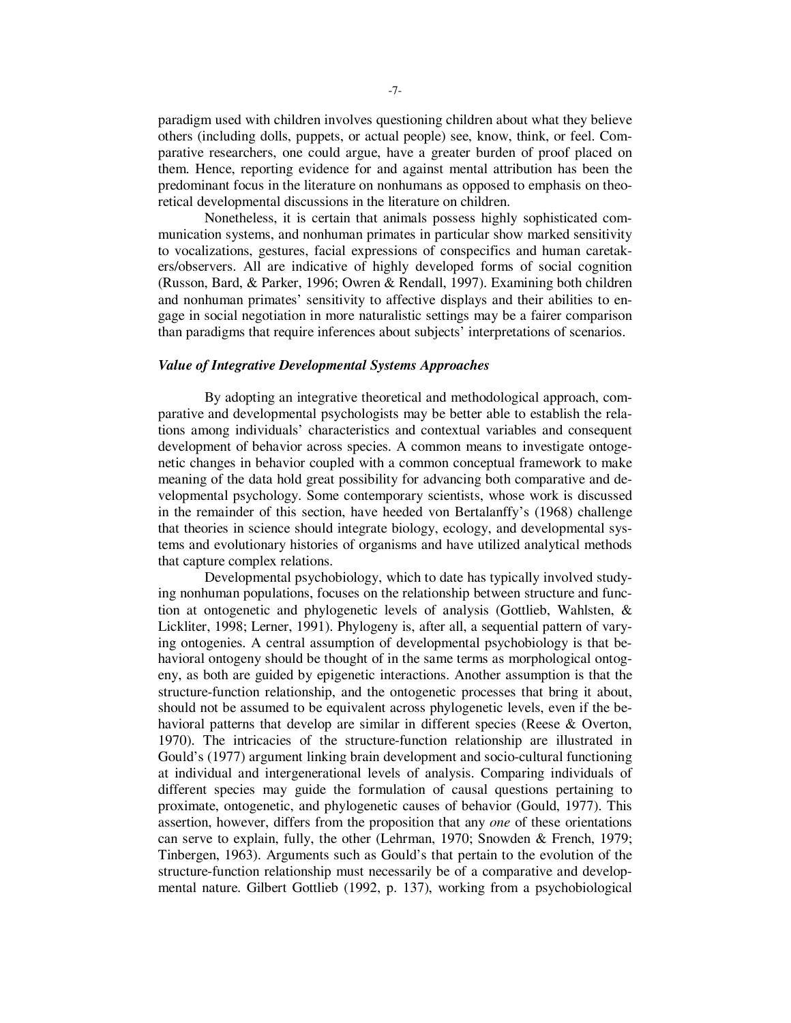paradigm used with children involves questioning children about what they believe others (including dolls, puppets, or actual people) see, know, think, or feel. Comparative researchers, one could argue, have a greater burden of proof placed on them. Hence, reporting evidence for and against mental attribution has been the predominant focus in the literature on nonhumans as opposed to emphasis on theoretical developmental discussions in the literature on children.

Nonetheless, it is certain that animals possess highly sophisticated communication systems, and nonhuman primates in particular show marked sensitivity to vocalizations, gestures, facial expressions of conspecifics and human caretakers/observers. All are indicative of highly developed forms of social cognition (Russon, Bard, & Parker, 1996; Owren & Rendall, 1997). Examining both children and nonhuman primates' sensitivity to affective displays and their abilities to engage in social negotiation in more naturalistic settings may be a fairer comparison than paradigms that require inferences about subjects' interpretations of scenarios.

#### *Value of Integrative Developmental Systems Approaches*

By adopting an integrative theoretical and methodological approach, comparative and developmental psychologists may be better able to establish the relations among individuals' characteristics and contextual variables and consequent development of behavior across species. A common means to investigate ontogenetic changes in behavior coupled with a common conceptual framework to make meaning of the data hold great possibility for advancing both comparative and developmental psychology. Some contemporary scientists, whose work is discussed in the remainder of this section, have heeded von Bertalanffy's (1968) challenge that theories in science should integrate biology, ecology, and developmental systems and evolutionary histories of organisms and have utilized analytical methods that capture complex relations.

Developmental psychobiology, which to date has typically involved studying nonhuman populations, focuses on the relationship between structure and function at ontogenetic and phylogenetic levels of analysis (Gottlieb, Wahlsten, & Lickliter, 1998; Lerner, 1991). Phylogeny is, after all, a sequential pattern of varying ontogenies. A central assumption of developmental psychobiology is that behavioral ontogeny should be thought of in the same terms as morphological ontogeny, as both are guided by epigenetic interactions. Another assumption is that the structure-function relationship, and the ontogenetic processes that bring it about, should not be assumed to be equivalent across phylogenetic levels, even if the behavioral patterns that develop are similar in different species (Reese & Overton, 1970). The intricacies of the structure-function relationship are illustrated in Gould's (1977) argument linking brain development and socio-cultural functioning at individual and intergenerational levels of analysis. Comparing individuals of different species may guide the formulation of causal questions pertaining to proximate, ontogenetic, and phylogenetic causes of behavior (Gould, 1977). This assertion, however, differs from the proposition that any *one* of these orientations can serve to explain, fully, the other (Lehrman, 1970; Snowden & French, 1979; Tinbergen, 1963). Arguments such as Gould's that pertain to the evolution of the structure-function relationship must necessarily be of a comparative and developmental nature. Gilbert Gottlieb (1992, p. 137), working from a psychobiological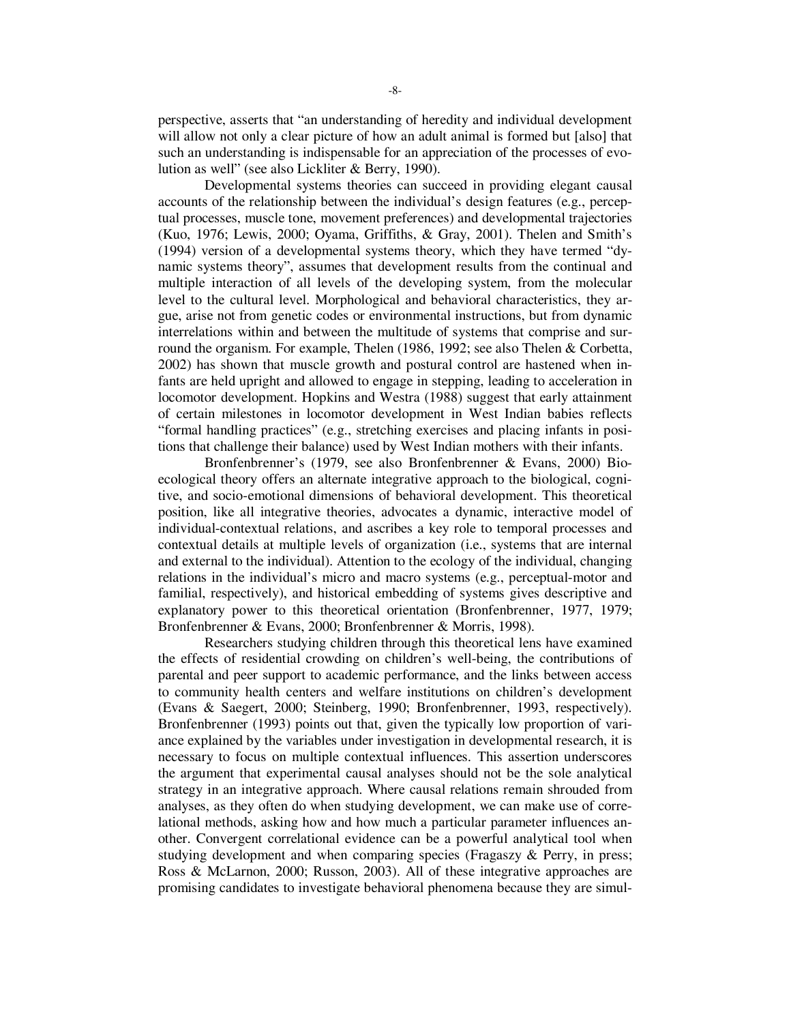perspective, asserts that "an understanding of heredity and individual development will allow not only a clear picture of how an adult animal is formed but [also] that such an understanding is indispensable for an appreciation of the processes of evolution as well" (see also Lickliter & Berry, 1990).

Developmental systems theories can succeed in providing elegant causal accounts of the relationship between the individual's design features (e.g., perceptual processes, muscle tone, movement preferences) and developmental trajectories (Kuo, 1976; Lewis, 2000; Oyama, Griffiths, & Gray, 2001). Thelen and Smith's (1994) version of a developmental systems theory, which they have termed "dynamic systems theory", assumes that development results from the continual and multiple interaction of all levels of the developing system, from the molecular level to the cultural level. Morphological and behavioral characteristics, they argue, arise not from genetic codes or environmental instructions, but from dynamic interrelations within and between the multitude of systems that comprise and surround the organism. For example, Thelen (1986, 1992; see also Thelen & Corbetta, 2002) has shown that muscle growth and postural control are hastened when infants are held upright and allowed to engage in stepping, leading to acceleration in locomotor development. Hopkins and Westra (1988) suggest that early attainment of certain milestones in locomotor development in West Indian babies reflects "formal handling practices" (e.g., stretching exercises and placing infants in positions that challenge their balance) used by West Indian mothers with their infants.

Bronfenbrenner's (1979, see also Bronfenbrenner & Evans, 2000) Bioecological theory offers an alternate integrative approach to the biological, cognitive, and socio-emotional dimensions of behavioral development. This theoretical position, like all integrative theories, advocates a dynamic, interactive model of individual-contextual relations, and ascribes a key role to temporal processes and contextual details at multiple levels of organization (i.e., systems that are internal and external to the individual). Attention to the ecology of the individual, changing relations in the individual's micro and macro systems (e.g., perceptual-motor and familial, respectively), and historical embedding of systems gives descriptive and explanatory power to this theoretical orientation (Bronfenbrenner, 1977, 1979; Bronfenbrenner & Evans, 2000; Bronfenbrenner & Morris, 1998).

Researchers studying children through this theoretical lens have examined the effects of residential crowding on children's well-being, the contributions of parental and peer support to academic performance, and the links between access to community health centers and welfare institutions on children's development (Evans & Saegert, 2000; Steinberg, 1990; Bronfenbrenner, 1993, respectively). Bronfenbrenner (1993) points out that, given the typically low proportion of variance explained by the variables under investigation in developmental research, it is necessary to focus on multiple contextual influences. This assertion underscores the argument that experimental causal analyses should not be the sole analytical strategy in an integrative approach. Where causal relations remain shrouded from analyses, as they often do when studying development, we can make use of correlational methods, asking how and how much a particular parameter influences another. Convergent correlational evidence can be a powerful analytical tool when studying development and when comparing species (Fragaszy & Perry, in press; Ross & McLarnon, 2000; Russon, 2003). All of these integrative approaches are promising candidates to investigate behavioral phenomena because they are simul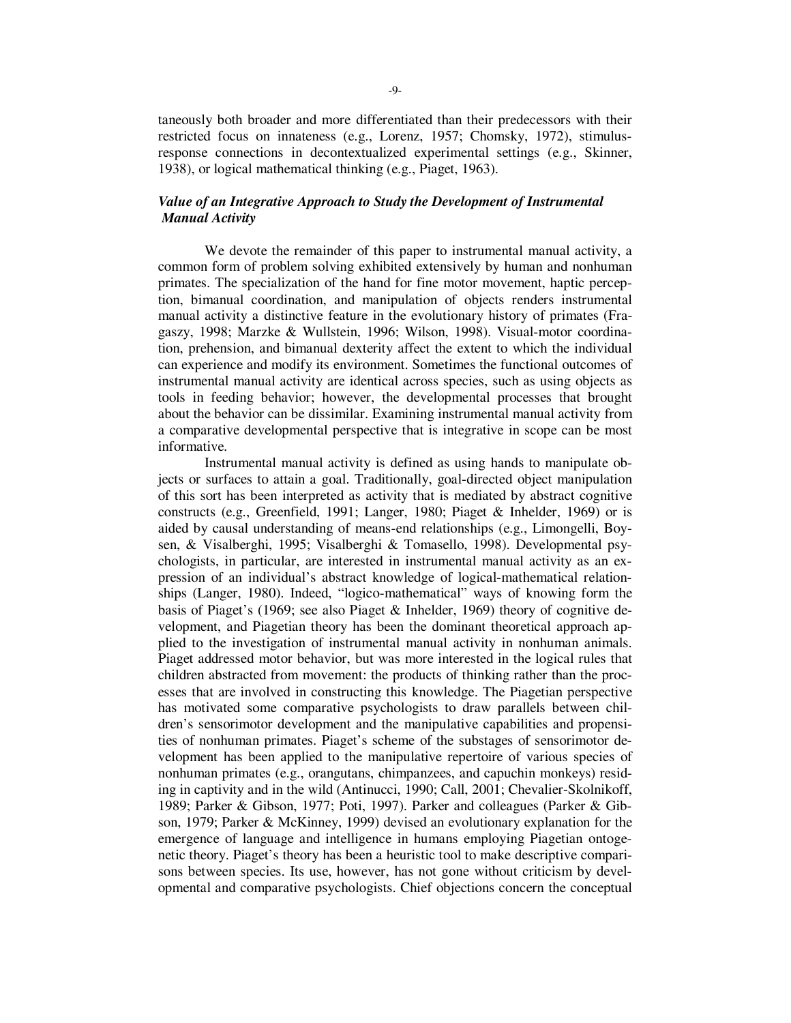taneously both broader and more differentiated than their predecessors with their restricted focus on innateness (e.g., Lorenz, 1957; Chomsky, 1972), stimulusresponse connections in decontextualized experimental settings (e.g., Skinner, 1938), or logical mathematical thinking (e.g., Piaget, 1963).

## *Value of an Integrative Approach to Study the Development of Instrumental Manual Activity*

 We devote the remainder of this paper to instrumental manual activity, a common form of problem solving exhibited extensively by human and nonhuman primates. The specialization of the hand for fine motor movement, haptic perception, bimanual coordination, and manipulation of objects renders instrumental manual activity a distinctive feature in the evolutionary history of primates (Fragaszy, 1998; Marzke & Wullstein, 1996; Wilson, 1998). Visual-motor coordination, prehension, and bimanual dexterity affect the extent to which the individual can experience and modify its environment. Sometimes the functional outcomes of instrumental manual activity are identical across species, such as using objects as tools in feeding behavior; however, the developmental processes that brought about the behavior can be dissimilar. Examining instrumental manual activity from a comparative developmental perspective that is integrative in scope can be most informative.

Instrumental manual activity is defined as using hands to manipulate objects or surfaces to attain a goal. Traditionally, goal-directed object manipulation of this sort has been interpreted as activity that is mediated by abstract cognitive constructs (e.g., Greenfield, 1991; Langer, 1980; Piaget & Inhelder, 1969) or is aided by causal understanding of means-end relationships (e.g., Limongelli, Boysen, & Visalberghi, 1995; Visalberghi & Tomasello, 1998). Developmental psychologists, in particular, are interested in instrumental manual activity as an expression of an individual's abstract knowledge of logical-mathematical relationships (Langer, 1980). Indeed, "logico-mathematical" ways of knowing form the basis of Piaget's (1969; see also Piaget & Inhelder, 1969) theory of cognitive development, and Piagetian theory has been the dominant theoretical approach applied to the investigation of instrumental manual activity in nonhuman animals. Piaget addressed motor behavior, but was more interested in the logical rules that children abstracted from movement: the products of thinking rather than the processes that are involved in constructing this knowledge. The Piagetian perspective has motivated some comparative psychologists to draw parallels between children's sensorimotor development and the manipulative capabilities and propensities of nonhuman primates. Piaget's scheme of the substages of sensorimotor development has been applied to the manipulative repertoire of various species of nonhuman primates (e.g., orangutans, chimpanzees, and capuchin monkeys) residing in captivity and in the wild (Antinucci, 1990; Call, 2001; Chevalier-Skolnikoff, 1989; Parker & Gibson, 1977; Poti, 1997). Parker and colleagues (Parker & Gibson, 1979; Parker & McKinney, 1999) devised an evolutionary explanation for the emergence of language and intelligence in humans employing Piagetian ontogenetic theory. Piaget's theory has been a heuristic tool to make descriptive comparisons between species. Its use, however, has not gone without criticism by developmental and comparative psychologists. Chief objections concern the conceptual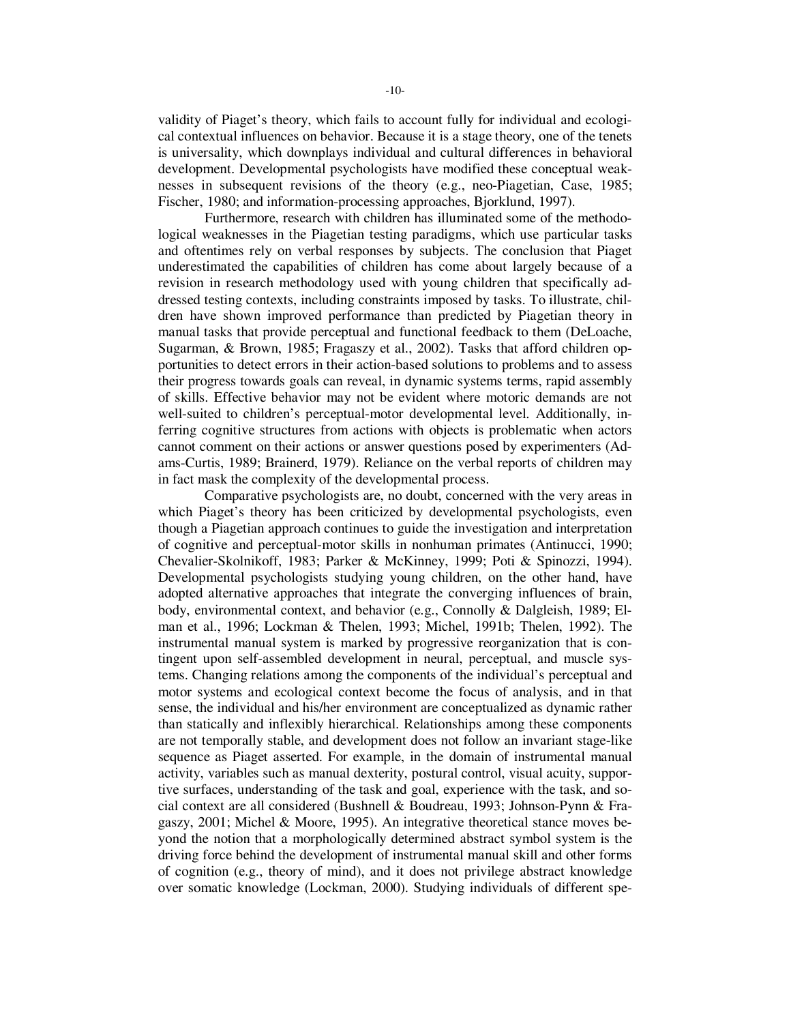validity of Piaget's theory, which fails to account fully for individual and ecological contextual influences on behavior. Because it is a stage theory, one of the tenets is universality, which downplays individual and cultural differences in behavioral development. Developmental psychologists have modified these conceptual weaknesses in subsequent revisions of the theory (e.g., neo-Piagetian, Case, 1985; Fischer, 1980; and information-processing approaches, Bjorklund, 1997).

Furthermore, research with children has illuminated some of the methodological weaknesses in the Piagetian testing paradigms, which use particular tasks and oftentimes rely on verbal responses by subjects. The conclusion that Piaget underestimated the capabilities of children has come about largely because of a revision in research methodology used with young children that specifically addressed testing contexts, including constraints imposed by tasks. To illustrate, children have shown improved performance than predicted by Piagetian theory in manual tasks that provide perceptual and functional feedback to them (DeLoache, Sugarman, & Brown, 1985; Fragaszy et al., 2002). Tasks that afford children opportunities to detect errors in their action-based solutions to problems and to assess their progress towards goals can reveal, in dynamic systems terms, rapid assembly of skills. Effective behavior may not be evident where motoric demands are not well-suited to children's perceptual-motor developmental level. Additionally, inferring cognitive structures from actions with objects is problematic when actors cannot comment on their actions or answer questions posed by experimenters (Adams-Curtis, 1989; Brainerd, 1979). Reliance on the verbal reports of children may in fact mask the complexity of the developmental process.

Comparative psychologists are, no doubt, concerned with the very areas in which Piaget's theory has been criticized by developmental psychologists, even though a Piagetian approach continues to guide the investigation and interpretation of cognitive and perceptual-motor skills in nonhuman primates (Antinucci, 1990; Chevalier-Skolnikoff, 1983; Parker & McKinney, 1999; Poti & Spinozzi, 1994). Developmental psychologists studying young children, on the other hand, have adopted alternative approaches that integrate the converging influences of brain, body, environmental context, and behavior (e.g., Connolly & Dalgleish, 1989; Elman et al., 1996; Lockman & Thelen, 1993; Michel, 1991b; Thelen, 1992). The instrumental manual system is marked by progressive reorganization that is contingent upon self-assembled development in neural, perceptual, and muscle systems. Changing relations among the components of the individual's perceptual and motor systems and ecological context become the focus of analysis, and in that sense, the individual and his/her environment are conceptualized as dynamic rather than statically and inflexibly hierarchical. Relationships among these components are not temporally stable, and development does not follow an invariant stage-like sequence as Piaget asserted. For example, in the domain of instrumental manual activity, variables such as manual dexterity, postural control, visual acuity, supportive surfaces, understanding of the task and goal, experience with the task, and social context are all considered (Bushnell & Boudreau, 1993; Johnson-Pynn & Fragaszy, 2001; Michel & Moore, 1995). An integrative theoretical stance moves beyond the notion that a morphologically determined abstract symbol system is the driving force behind the development of instrumental manual skill and other forms of cognition (e.g., theory of mind), and it does not privilege abstract knowledge over somatic knowledge (Lockman, 2000). Studying individuals of different spe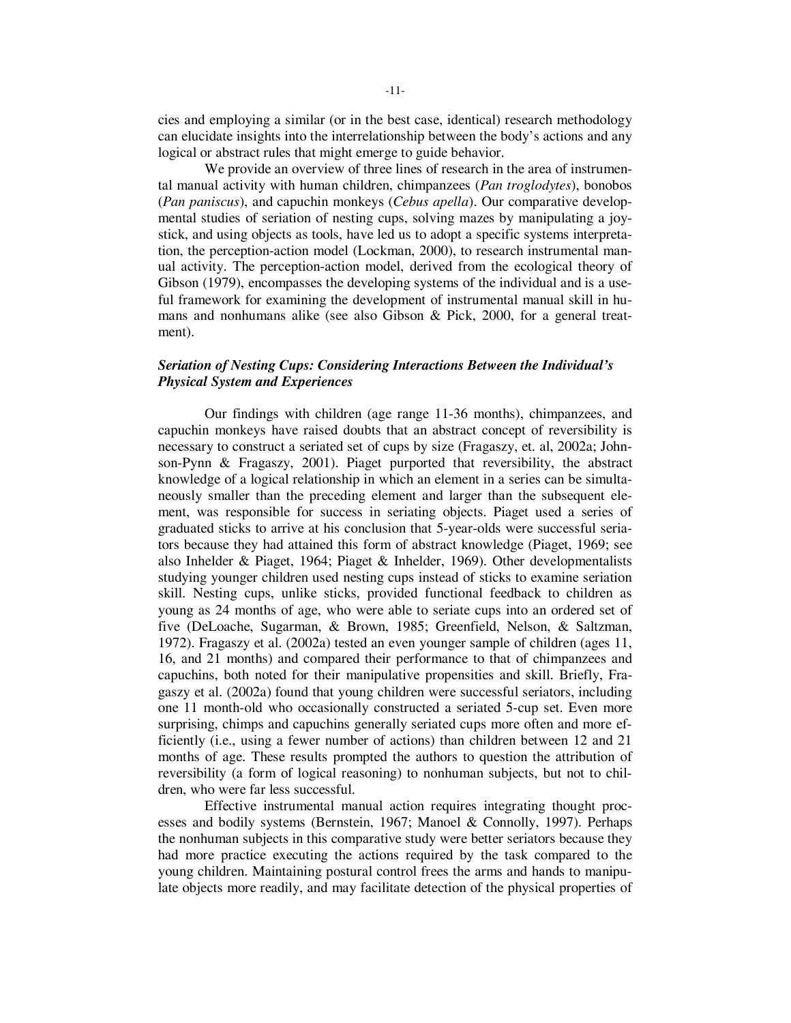cies and employing a similar (or in the best case, identical) research methodology can elucidate insights into the interrelationship between the body's actions and any logical or abstract rules that might emerge to guide behavior.

We provide an overview of three lines of research in the area of instrumental manual activity with human children, chimpanzees (*Pan troglodytes*), bonobos (*Pan paniscus*), and capuchin monkeys (*Cebus apella*). Our comparative developmental studies of seriation of nesting cups, solving mazes by manipulating a joystick, and using objects as tools, have led us to adopt a specific systems interpretation, the perception-action model (Lockman, 2000), to research instrumental manual activity. The perception-action model, derived from the ecological theory of Gibson (1979), encompasses the developing systems of the individual and is a useful framework for examining the development of instrumental manual skill in humans and nonhumans alike (see also Gibson & Pick, 2000, for a general treatment).

## *Seriation of Nesting Cups: Considering Interactions Between the Individual's Physical System and Experiences*

 Our findings with children (age range 11-36 months), chimpanzees, and capuchin monkeys have raised doubts that an abstract concept of reversibility is necessary to construct a seriated set of cups by size (Fragaszy, et. al, 2002a; Johnson-Pynn & Fragaszy, 2001). Piaget purported that reversibility, the abstract knowledge of a logical relationship in which an element in a series can be simultaneously smaller than the preceding element and larger than the subsequent element, was responsible for success in seriating objects. Piaget used a series of graduated sticks to arrive at his conclusion that 5-year-olds were successful seriators because they had attained this form of abstract knowledge (Piaget, 1969; see also Inhelder & Piaget, 1964; Piaget & Inhelder, 1969). Other developmentalists studying younger children used nesting cups instead of sticks to examine seriation skill. Nesting cups, unlike sticks, provided functional feedback to children as young as 24 months of age, who were able to seriate cups into an ordered set of five (DeLoache, Sugarman, & Brown, 1985; Greenfield, Nelson, & Saltzman, 1972). Fragaszy et al. (2002a) tested an even younger sample of children (ages 11, 16, and 21 months) and compared their performance to that of chimpanzees and capuchins, both noted for their manipulative propensities and skill. Briefly, Fragaszy et al. (2002a) found that young children were successful seriators, including one 11 month-old who occasionally constructed a seriated 5-cup set. Even more surprising, chimps and capuchins generally seriated cups more often and more efficiently (i.e., using a fewer number of actions) than children between 12 and 21 months of age. These results prompted the authors to question the attribution of reversibility (a form of logical reasoning) to nonhuman subjects, but not to children, who were far less successful.

Effective instrumental manual action requires integrating thought processes and bodily systems (Bernstein, 1967; Manoel & Connolly, 1997). Perhaps the nonhuman subjects in this comparative study were better seriators because they had more practice executing the actions required by the task compared to the young children. Maintaining postural control frees the arms and hands to manipulate objects more readily, and may facilitate detection of the physical properties of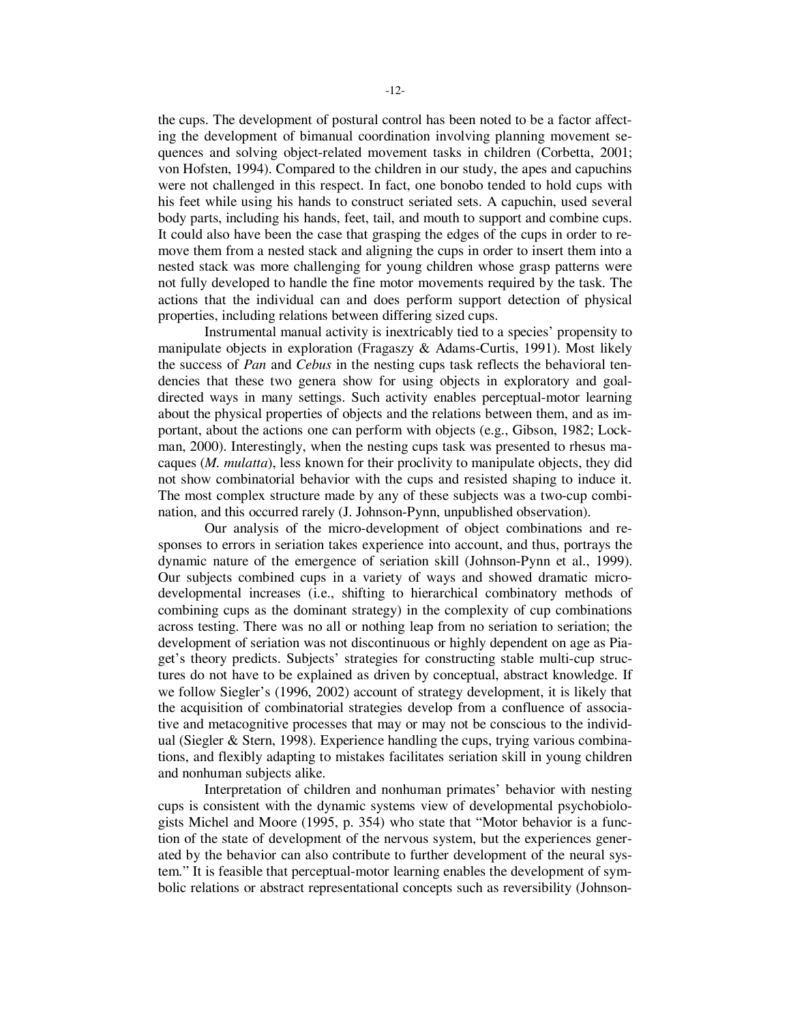the cups. The development of postural control has been noted to be a factor affecting the development of bimanual coordination involving planning movement sequences and solving object-related movement tasks in children (Corbetta, 2001; von Hofsten, 1994). Compared to the children in our study, the apes and capuchins were not challenged in this respect. In fact, one bonobo tended to hold cups with his feet while using his hands to construct seriated sets. A capuchin, used several body parts, including his hands, feet, tail, and mouth to support and combine cups. It could also have been the case that grasping the edges of the cups in order to remove them from a nested stack and aligning the cups in order to insert them into a nested stack was more challenging for young children whose grasp patterns were not fully developed to handle the fine motor movements required by the task. The actions that the individual can and does perform support detection of physical properties, including relations between differing sized cups.

 Instrumental manual activity is inextricably tied to a species' propensity to manipulate objects in exploration (Fragaszy & Adams-Curtis, 1991). Most likely the success of *Pan* and *Cebus* in the nesting cups task reflects the behavioral tendencies that these two genera show for using objects in exploratory and goaldirected ways in many settings. Such activity enables perceptual-motor learning about the physical properties of objects and the relations between them, and as important, about the actions one can perform with objects (e.g., Gibson, 1982; Lockman, 2000). Interestingly, when the nesting cups task was presented to rhesus macaques (*M. mulatta*), less known for their proclivity to manipulate objects, they did not show combinatorial behavior with the cups and resisted shaping to induce it. The most complex structure made by any of these subjects was a two-cup combination, and this occurred rarely (J. Johnson-Pynn, unpublished observation).

Our analysis of the micro-development of object combinations and responses to errors in seriation takes experience into account, and thus, portrays the dynamic nature of the emergence of seriation skill (Johnson-Pynn et al., 1999). Our subjects combined cups in a variety of ways and showed dramatic microdevelopmental increases (i.e., shifting to hierarchical combinatory methods of combining cups as the dominant strategy) in the complexity of cup combinations across testing. There was no all or nothing leap from no seriation to seriation; the development of seriation was not discontinuous or highly dependent on age as Piaget's theory predicts. Subjects' strategies for constructing stable multi-cup structures do not have to be explained as driven by conceptual, abstract knowledge. If we follow Siegler's (1996, 2002) account of strategy development, it is likely that the acquisition of combinatorial strategies develop from a confluence of associative and metacognitive processes that may or may not be conscious to the individual (Siegler & Stern, 1998). Experience handling the cups, trying various combinations, and flexibly adapting to mistakes facilitates seriation skill in young children and nonhuman subjects alike.

Interpretation of children and nonhuman primates' behavior with nesting cups is consistent with the dynamic systems view of developmental psychobiologists Michel and Moore (1995, p. 354) who state that "Motor behavior is a function of the state of development of the nervous system, but the experiences generated by the behavior can also contribute to further development of the neural system." It is feasible that perceptual-motor learning enables the development of symbolic relations or abstract representational concepts such as reversibility (Johnson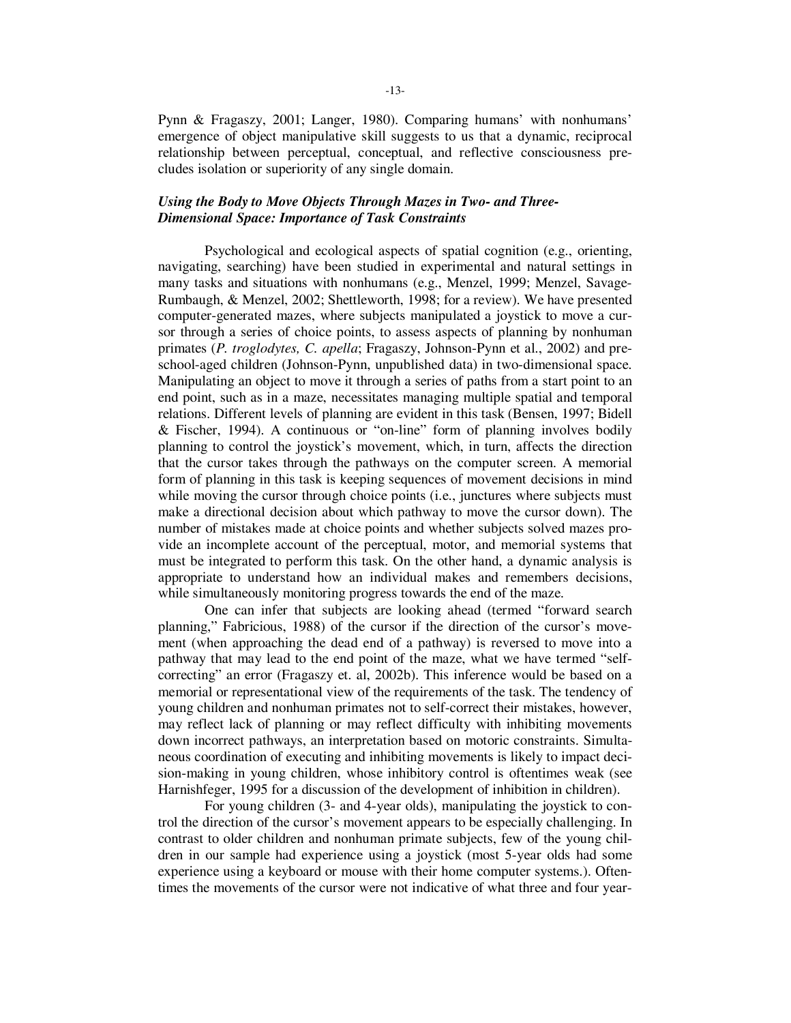Pynn & Fragaszy, 2001; Langer, 1980). Comparing humans' with nonhumans' emergence of object manipulative skill suggests to us that a dynamic, reciprocal relationship between perceptual, conceptual, and reflective consciousness precludes isolation or superiority of any single domain.

## *Using the Body to Move Objects Through Mazes in Two- and Three-Dimensional Space: Importance of Task Constraints*

Psychological and ecological aspects of spatial cognition (e.g., orienting, navigating, searching) have been studied in experimental and natural settings in many tasks and situations with nonhumans (e.g., Menzel, 1999; Menzel, Savage-Rumbaugh, & Menzel, 2002; Shettleworth, 1998; for a review). We have presented computer-generated mazes, where subjects manipulated a joystick to move a cursor through a series of choice points, to assess aspects of planning by nonhuman primates (*P. troglodytes, C. apella*; Fragaszy, Johnson-Pynn et al., 2002) and preschool-aged children (Johnson-Pynn, unpublished data) in two-dimensional space. Manipulating an object to move it through a series of paths from a start point to an end point, such as in a maze, necessitates managing multiple spatial and temporal relations. Different levels of planning are evident in this task (Bensen, 1997; Bidell & Fischer, 1994). A continuous or "on-line" form of planning involves bodily planning to control the joystick's movement, which, in turn, affects the direction that the cursor takes through the pathways on the computer screen. A memorial form of planning in this task is keeping sequences of movement decisions in mind while moving the cursor through choice points (i.e., junctures where subjects must make a directional decision about which pathway to move the cursor down). The number of mistakes made at choice points and whether subjects solved mazes provide an incomplete account of the perceptual, motor, and memorial systems that must be integrated to perform this task. On the other hand, a dynamic analysis is appropriate to understand how an individual makes and remembers decisions, while simultaneously monitoring progress towards the end of the maze.

One can infer that subjects are looking ahead (termed "forward search planning," Fabricious, 1988) of the cursor if the direction of the cursor's movement (when approaching the dead end of a pathway) is reversed to move into a pathway that may lead to the end point of the maze, what we have termed "selfcorrecting" an error (Fragaszy et. al, 2002b). This inference would be based on a memorial or representational view of the requirements of the task. The tendency of young children and nonhuman primates not to self-correct their mistakes, however, may reflect lack of planning or may reflect difficulty with inhibiting movements down incorrect pathways, an interpretation based on motoric constraints. Simultaneous coordination of executing and inhibiting movements is likely to impact decision-making in young children, whose inhibitory control is oftentimes weak (see Harnishfeger, 1995 for a discussion of the development of inhibition in children).

For young children (3- and 4-year olds), manipulating the joystick to control the direction of the cursor's movement appears to be especially challenging. In contrast to older children and nonhuman primate subjects, few of the young children in our sample had experience using a joystick (most 5-year olds had some experience using a keyboard or mouse with their home computer systems.). Oftentimes the movements of the cursor were not indicative of what three and four year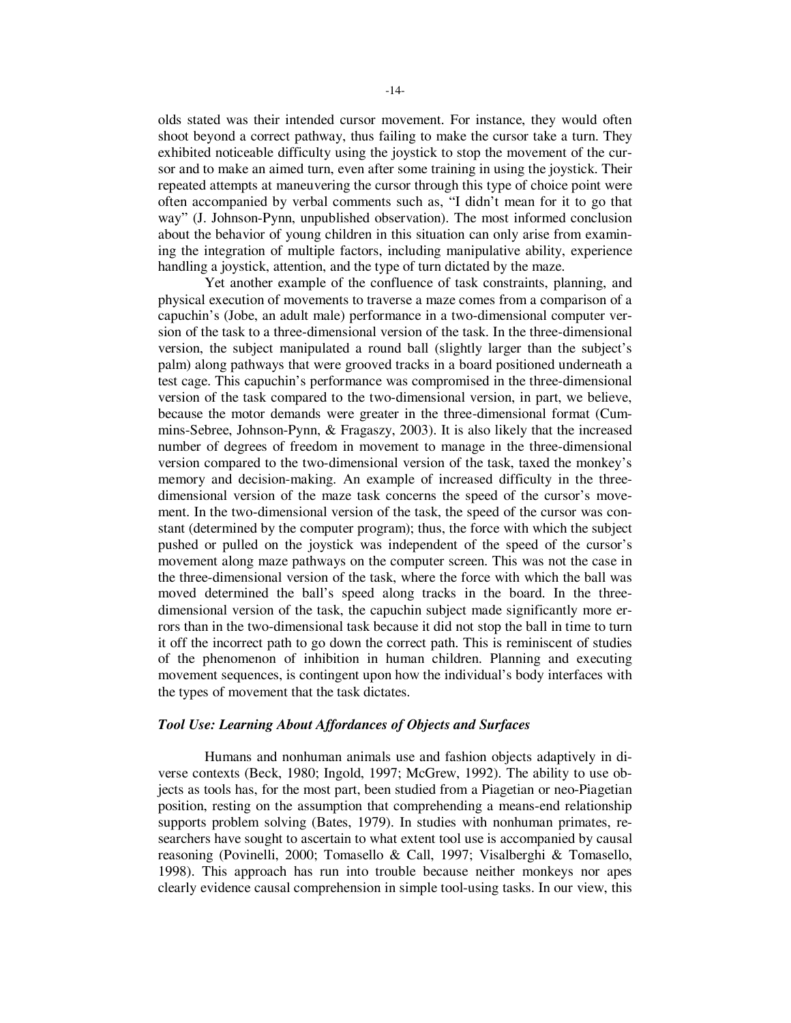olds stated was their intended cursor movement. For instance, they would often shoot beyond a correct pathway, thus failing to make the cursor take a turn. They exhibited noticeable difficulty using the joystick to stop the movement of the cursor and to make an aimed turn, even after some training in using the joystick. Their repeated attempts at maneuvering the cursor through this type of choice point were often accompanied by verbal comments such as, "I didn't mean for it to go that way" (J. Johnson-Pynn, unpublished observation). The most informed conclusion about the behavior of young children in this situation can only arise from examining the integration of multiple factors, including manipulative ability, experience handling a joystick, attention, and the type of turn dictated by the maze.

 Yet another example of the confluence of task constraints, planning, and physical execution of movements to traverse a maze comes from a comparison of a capuchin's (Jobe, an adult male) performance in a two-dimensional computer version of the task to a three-dimensional version of the task. In the three-dimensional version, the subject manipulated a round ball (slightly larger than the subject's palm) along pathways that were grooved tracks in a board positioned underneath a test cage. This capuchin's performance was compromised in the three-dimensional version of the task compared to the two-dimensional version, in part, we believe, because the motor demands were greater in the three-dimensional format (Cummins-Sebree, Johnson-Pynn, & Fragaszy, 2003). It is also likely that the increased number of degrees of freedom in movement to manage in the three-dimensional version compared to the two-dimensional version of the task, taxed the monkey's memory and decision-making. An example of increased difficulty in the threedimensional version of the maze task concerns the speed of the cursor's movement. In the two-dimensional version of the task, the speed of the cursor was constant (determined by the computer program); thus, the force with which the subject pushed or pulled on the joystick was independent of the speed of the cursor's movement along maze pathways on the computer screen. This was not the case in the three-dimensional version of the task, where the force with which the ball was moved determined the ball's speed along tracks in the board. In the threedimensional version of the task, the capuchin subject made significantly more errors than in the two-dimensional task because it did not stop the ball in time to turn it off the incorrect path to go down the correct path. This is reminiscent of studies of the phenomenon of inhibition in human children. Planning and executing movement sequences, is contingent upon how the individual's body interfaces with the types of movement that the task dictates.

## *Tool Use: Learning About Affordances of Objects and Surfaces*

 Humans and nonhuman animals use and fashion objects adaptively in diverse contexts (Beck, 1980; Ingold, 1997; McGrew, 1992). The ability to use objects as tools has, for the most part, been studied from a Piagetian or neo-Piagetian position, resting on the assumption that comprehending a means-end relationship supports problem solving (Bates, 1979). In studies with nonhuman primates, researchers have sought to ascertain to what extent tool use is accompanied by causal reasoning (Povinelli, 2000; Tomasello & Call, 1997; Visalberghi & Tomasello, 1998). This approach has run into trouble because neither monkeys nor apes clearly evidence causal comprehension in simple tool-using tasks. In our view, this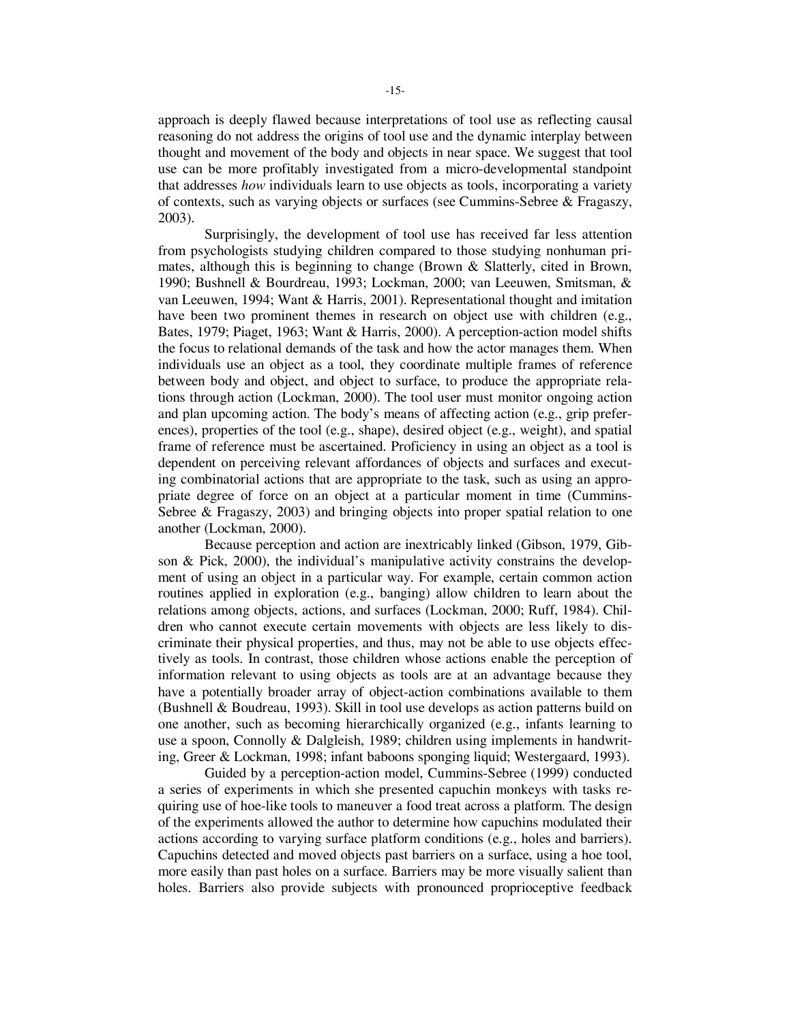approach is deeply flawed because interpretations of tool use as reflecting causal reasoning do not address the origins of tool use and the dynamic interplay between thought and movement of the body and objects in near space. We suggest that tool use can be more profitably investigated from a micro-developmental standpoint that addresses *how* individuals learn to use objects as tools, incorporating a variety of contexts, such as varying objects or surfaces (see Cummins-Sebree & Fragaszy, 2003).

Surprisingly, the development of tool use has received far less attention from psychologists studying children compared to those studying nonhuman primates, although this is beginning to change (Brown & Slatterly, cited in Brown, 1990; Bushnell & Bourdreau, 1993; Lockman, 2000; van Leeuwen, Smitsman, & van Leeuwen, 1994; Want & Harris, 2001). Representational thought and imitation have been two prominent themes in research on object use with children (e.g., Bates, 1979; Piaget, 1963; Want & Harris, 2000). A perception-action model shifts the focus to relational demands of the task and how the actor manages them. When individuals use an object as a tool, they coordinate multiple frames of reference between body and object, and object to surface, to produce the appropriate relations through action (Lockman, 2000). The tool user must monitor ongoing action and plan upcoming action. The body's means of affecting action (e.g., grip preferences), properties of the tool (e.g., shape), desired object (e.g., weight), and spatial frame of reference must be ascertained. Proficiency in using an object as a tool is dependent on perceiving relevant affordances of objects and surfaces and executing combinatorial actions that are appropriate to the task, such as using an appropriate degree of force on an object at a particular moment in time (Cummins-Sebree & Fragaszy, 2003) and bringing objects into proper spatial relation to one another (Lockman, 2000).

Because perception and action are inextricably linked (Gibson, 1979, Gibson & Pick, 2000), the individual's manipulative activity constrains the development of using an object in a particular way. For example, certain common action routines applied in exploration (e.g., banging) allow children to learn about the relations among objects, actions, and surfaces (Lockman, 2000; Ruff, 1984). Children who cannot execute certain movements with objects are less likely to discriminate their physical properties, and thus, may not be able to use objects effectively as tools. In contrast, those children whose actions enable the perception of information relevant to using objects as tools are at an advantage because they have a potentially broader array of object-action combinations available to them (Bushnell & Boudreau, 1993). Skill in tool use develops as action patterns build on one another, such as becoming hierarchically organized (e.g., infants learning to use a spoon, Connolly & Dalgleish, 1989; children using implements in handwriting, Greer & Lockman, 1998; infant baboons sponging liquid; Westergaard, 1993).

Guided by a perception-action model, Cummins-Sebree (1999) conducted a series of experiments in which she presented capuchin monkeys with tasks requiring use of hoe-like tools to maneuver a food treat across a platform. The design of the experiments allowed the author to determine how capuchins modulated their actions according to varying surface platform conditions (e.g., holes and barriers). Capuchins detected and moved objects past barriers on a surface, using a hoe tool, more easily than past holes on a surface. Barriers may be more visually salient than holes. Barriers also provide subjects with pronounced proprioceptive feedback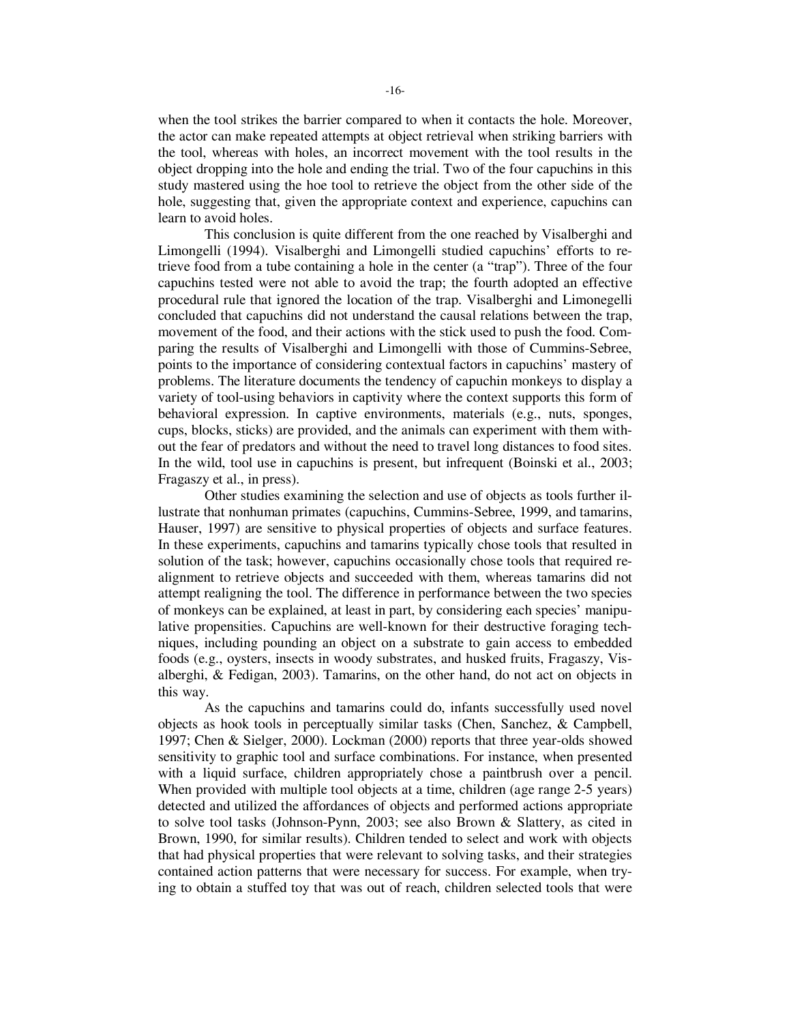when the tool strikes the barrier compared to when it contacts the hole. Moreover, the actor can make repeated attempts at object retrieval when striking barriers with the tool, whereas with holes, an incorrect movement with the tool results in the object dropping into the hole and ending the trial. Two of the four capuchins in this study mastered using the hoe tool to retrieve the object from the other side of the hole, suggesting that, given the appropriate context and experience, capuchins can learn to avoid holes.

This conclusion is quite different from the one reached by Visalberghi and Limongelli (1994). Visalberghi and Limongelli studied capuchins' efforts to retrieve food from a tube containing a hole in the center (a "trap"). Three of the four capuchins tested were not able to avoid the trap; the fourth adopted an effective procedural rule that ignored the location of the trap. Visalberghi and Limonegelli concluded that capuchins did not understand the causal relations between the trap, movement of the food, and their actions with the stick used to push the food. Comparing the results of Visalberghi and Limongelli with those of Cummins-Sebree, points to the importance of considering contextual factors in capuchins' mastery of problems. The literature documents the tendency of capuchin monkeys to display a variety of tool-using behaviors in captivity where the context supports this form of behavioral expression. In captive environments, materials (e.g., nuts, sponges, cups, blocks, sticks) are provided, and the animals can experiment with them without the fear of predators and without the need to travel long distances to food sites. In the wild, tool use in capuchins is present, but infrequent (Boinski et al., 2003; Fragaszy et al., in press).

Other studies examining the selection and use of objects as tools further illustrate that nonhuman primates (capuchins, Cummins-Sebree, 1999, and tamarins, Hauser, 1997) are sensitive to physical properties of objects and surface features. In these experiments, capuchins and tamarins typically chose tools that resulted in solution of the task; however, capuchins occasionally chose tools that required realignment to retrieve objects and succeeded with them, whereas tamarins did not attempt realigning the tool. The difference in performance between the two species of monkeys can be explained, at least in part, by considering each species' manipulative propensities. Capuchins are well-known for their destructive foraging techniques, including pounding an object on a substrate to gain access to embedded foods (e.g., oysters, insects in woody substrates, and husked fruits, Fragaszy, Visalberghi, & Fedigan, 2003). Tamarins, on the other hand, do not act on objects in this way.

As the capuchins and tamarins could do, infants successfully used novel objects as hook tools in perceptually similar tasks (Chen, Sanchez, & Campbell, 1997; Chen & Sielger, 2000). Lockman (2000) reports that three year-olds showed sensitivity to graphic tool and surface combinations. For instance, when presented with a liquid surface, children appropriately chose a paintbrush over a pencil. When provided with multiple tool objects at a time, children (age range 2-5 years) detected and utilized the affordances of objects and performed actions appropriate to solve tool tasks (Johnson-Pynn, 2003; see also Brown & Slattery, as cited in Brown, 1990, for similar results). Children tended to select and work with objects that had physical properties that were relevant to solving tasks, and their strategies contained action patterns that were necessary for success. For example, when trying to obtain a stuffed toy that was out of reach, children selected tools that were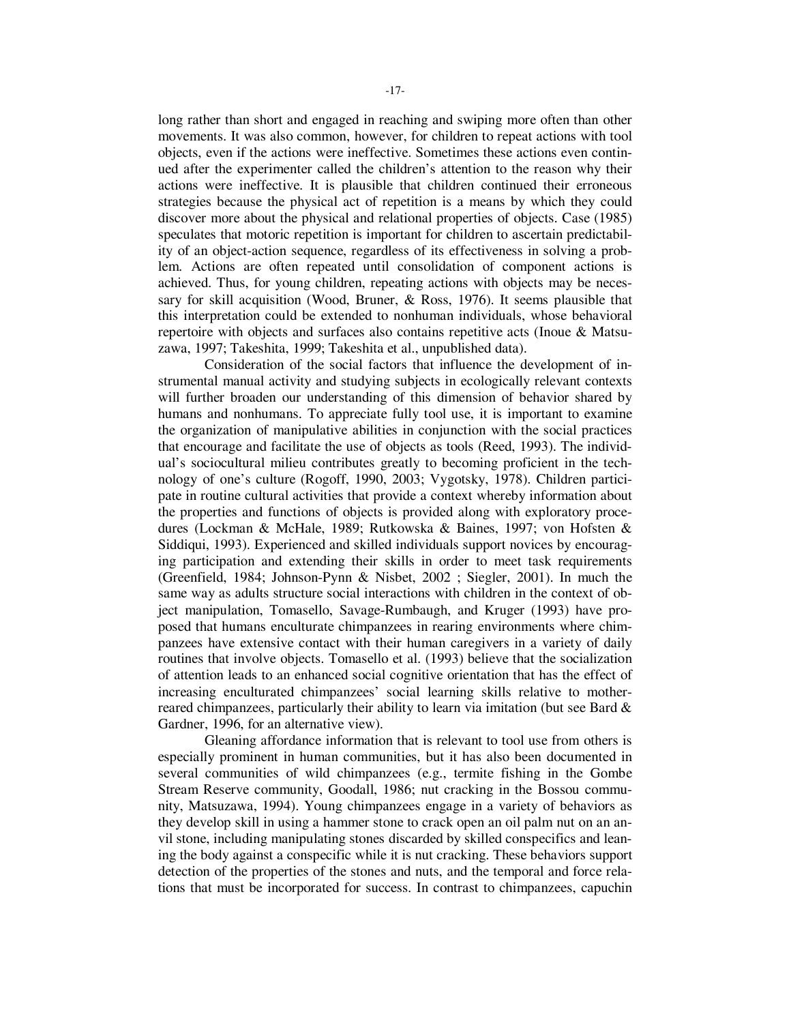long rather than short and engaged in reaching and swiping more often than other movements. It was also common, however, for children to repeat actions with tool objects, even if the actions were ineffective. Sometimes these actions even continued after the experimenter called the children's attention to the reason why their actions were ineffective. It is plausible that children continued their erroneous strategies because the physical act of repetition is a means by which they could discover more about the physical and relational properties of objects. Case (1985) speculates that motoric repetition is important for children to ascertain predictability of an object-action sequence, regardless of its effectiveness in solving a problem. Actions are often repeated until consolidation of component actions is achieved. Thus, for young children, repeating actions with objects may be necessary for skill acquisition (Wood, Bruner, & Ross, 1976). It seems plausible that this interpretation could be extended to nonhuman individuals, whose behavioral repertoire with objects and surfaces also contains repetitive acts (Inoue & Matsuzawa, 1997; Takeshita, 1999; Takeshita et al., unpublished data).

Consideration of the social factors that influence the development of instrumental manual activity and studying subjects in ecologically relevant contexts will further broaden our understanding of this dimension of behavior shared by humans and nonhumans. To appreciate fully tool use, it is important to examine the organization of manipulative abilities in conjunction with the social practices that encourage and facilitate the use of objects as tools (Reed, 1993). The individual's sociocultural milieu contributes greatly to becoming proficient in the technology of one's culture (Rogoff, 1990, 2003; Vygotsky, 1978). Children participate in routine cultural activities that provide a context whereby information about the properties and functions of objects is provided along with exploratory procedures (Lockman & McHale, 1989; Rutkowska & Baines, 1997; von Hofsten & Siddiqui, 1993). Experienced and skilled individuals support novices by encouraging participation and extending their skills in order to meet task requirements (Greenfield, 1984; Johnson-Pynn & Nisbet, 2002 ; Siegler, 2001). In much the same way as adults structure social interactions with children in the context of object manipulation, Tomasello, Savage-Rumbaugh, and Kruger (1993) have proposed that humans enculturate chimpanzees in rearing environments where chimpanzees have extensive contact with their human caregivers in a variety of daily routines that involve objects. Tomasello et al. (1993) believe that the socialization of attention leads to an enhanced social cognitive orientation that has the effect of increasing enculturated chimpanzees' social learning skills relative to motherreared chimpanzees, particularly their ability to learn via imitation (but see Bard & Gardner, 1996, for an alternative view).

Gleaning affordance information that is relevant to tool use from others is especially prominent in human communities, but it has also been documented in several communities of wild chimpanzees (e.g., termite fishing in the Gombe Stream Reserve community, Goodall, 1986; nut cracking in the Bossou community, Matsuzawa, 1994). Young chimpanzees engage in a variety of behaviors as they develop skill in using a hammer stone to crack open an oil palm nut on an anvil stone, including manipulating stones discarded by skilled conspecifics and leaning the body against a conspecific while it is nut cracking. These behaviors support detection of the properties of the stones and nuts, and the temporal and force relations that must be incorporated for success. In contrast to chimpanzees, capuchin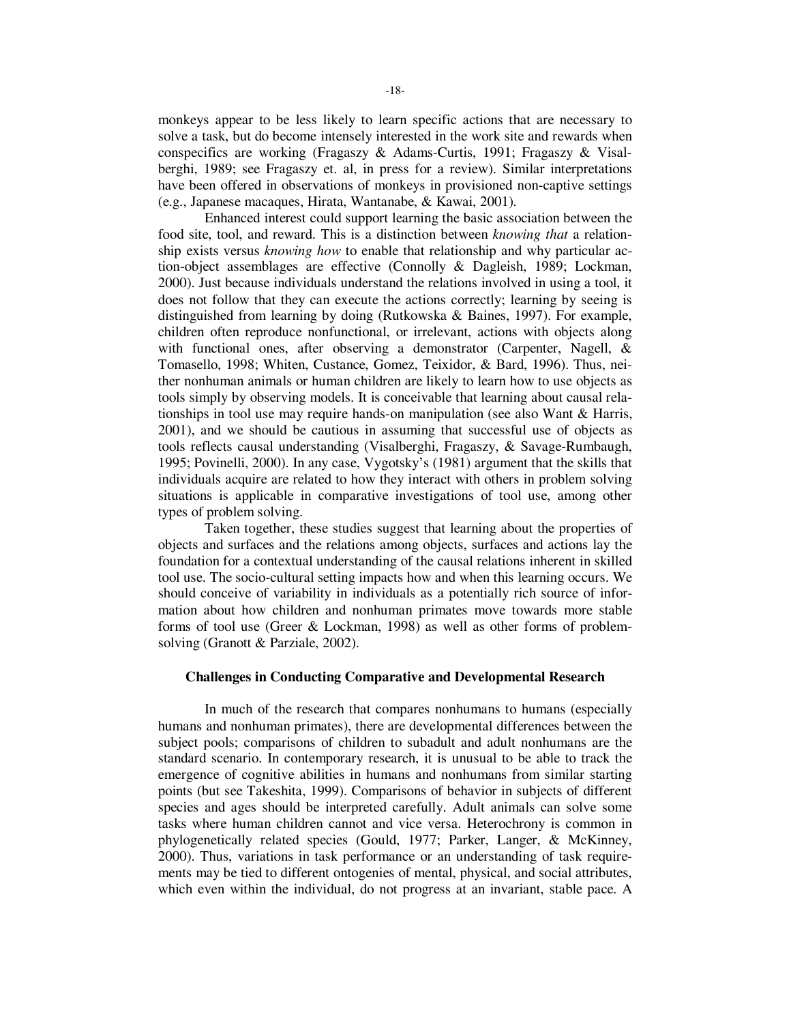monkeys appear to be less likely to learn specific actions that are necessary to solve a task, but do become intensely interested in the work site and rewards when conspecifics are working (Fragaszy & Adams-Curtis, 1991; Fragaszy & Visalberghi, 1989; see Fragaszy et. al, in press for a review). Similar interpretations have been offered in observations of monkeys in provisioned non-captive settings (e.g., Japanese macaques, Hirata, Wantanabe, & Kawai, 2001).

Enhanced interest could support learning the basic association between the food site, tool, and reward. This is a distinction between *knowing that* a relationship exists versus *knowing how* to enable that relationship and why particular action-object assemblages are effective (Connolly & Dagleish, 1989; Lockman, 2000). Just because individuals understand the relations involved in using a tool, it does not follow that they can execute the actions correctly; learning by seeing is distinguished from learning by doing (Rutkowska & Baines, 1997). For example, children often reproduce nonfunctional, or irrelevant, actions with objects along with functional ones, after observing a demonstrator (Carpenter, Nagell, & Tomasello, 1998; Whiten, Custance, Gomez, Teixidor, & Bard, 1996). Thus, neither nonhuman animals or human children are likely to learn how to use objects as tools simply by observing models. It is conceivable that learning about causal relationships in tool use may require hands-on manipulation (see also Want & Harris, 2001), and we should be cautious in assuming that successful use of objects as tools reflects causal understanding (Visalberghi, Fragaszy, & Savage-Rumbaugh, 1995; Povinelli, 2000). In any case, Vygotsky's (1981) argument that the skills that individuals acquire are related to how they interact with others in problem solving situations is applicable in comparative investigations of tool use, among other types of problem solving.

Taken together, these studies suggest that learning about the properties of objects and surfaces and the relations among objects, surfaces and actions lay the foundation for a contextual understanding of the causal relations inherent in skilled tool use. The socio-cultural setting impacts how and when this learning occurs. We should conceive of variability in individuals as a potentially rich source of information about how children and nonhuman primates move towards more stable forms of tool use (Greer & Lockman, 1998) as well as other forms of problemsolving (Granott & Parziale, 2002).

#### **Challenges in Conducting Comparative and Developmental Research**

In much of the research that compares nonhumans to humans (especially humans and nonhuman primates), there are developmental differences between the subject pools; comparisons of children to subadult and adult nonhumans are the standard scenario. In contemporary research, it is unusual to be able to track the emergence of cognitive abilities in humans and nonhumans from similar starting points (but see Takeshita, 1999). Comparisons of behavior in subjects of different species and ages should be interpreted carefully. Adult animals can solve some tasks where human children cannot and vice versa. Heterochrony is common in phylogenetically related species (Gould, 1977; Parker, Langer, & McKinney, 2000). Thus, variations in task performance or an understanding of task requirements may be tied to different ontogenies of mental, physical, and social attributes, which even within the individual, do not progress at an invariant, stable pace. A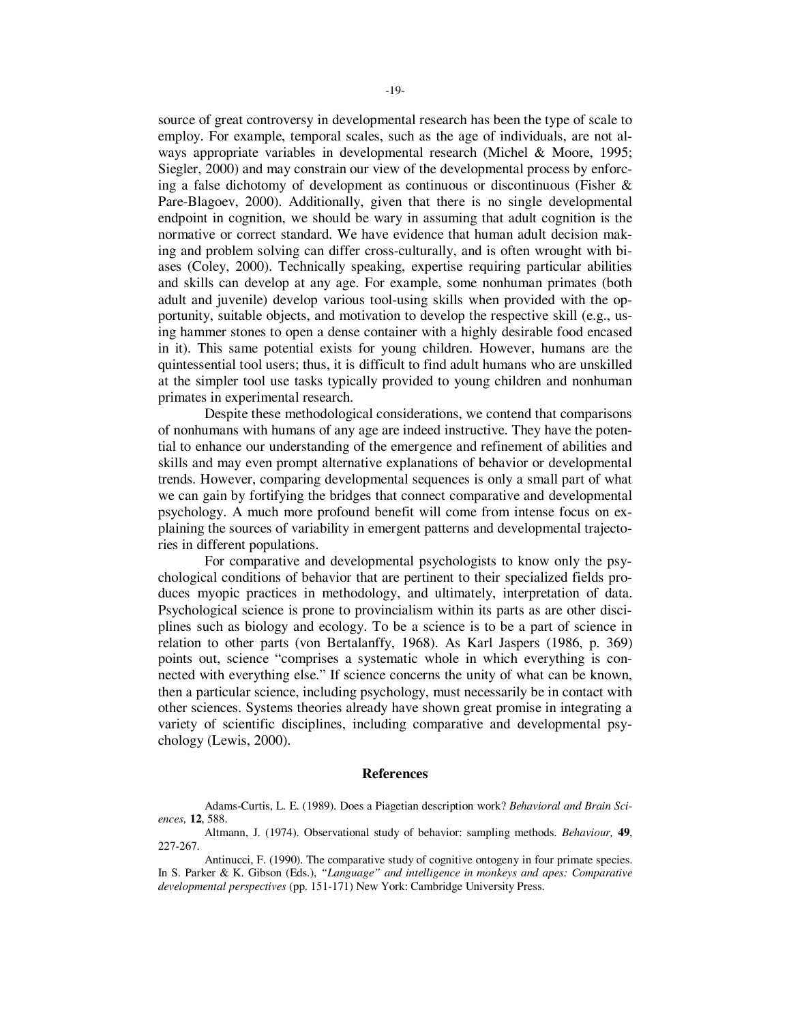source of great controversy in developmental research has been the type of scale to employ. For example, temporal scales, such as the age of individuals, are not always appropriate variables in developmental research (Michel & Moore, 1995; Siegler, 2000) and may constrain our view of the developmental process by enforcing a false dichotomy of development as continuous or discontinuous (Fisher & Pare-Blagoev, 2000). Additionally, given that there is no single developmental endpoint in cognition, we should be wary in assuming that adult cognition is the normative or correct standard. We have evidence that human adult decision making and problem solving can differ cross-culturally, and is often wrought with biases (Coley, 2000). Technically speaking, expertise requiring particular abilities and skills can develop at any age. For example, some nonhuman primates (both adult and juvenile) develop various tool-using skills when provided with the opportunity, suitable objects, and motivation to develop the respective skill (e.g., using hammer stones to open a dense container with a highly desirable food encased in it). This same potential exists for young children. However, humans are the quintessential tool users; thus, it is difficult to find adult humans who are unskilled at the simpler tool use tasks typically provided to young children and nonhuman primates in experimental research.

Despite these methodological considerations, we contend that comparisons of nonhumans with humans of any age are indeed instructive. They have the potential to enhance our understanding of the emergence and refinement of abilities and skills and may even prompt alternative explanations of behavior or developmental trends. However, comparing developmental sequences is only a small part of what we can gain by fortifying the bridges that connect comparative and developmental psychology. A much more profound benefit will come from intense focus on explaining the sources of variability in emergent patterns and developmental trajectories in different populations.

For comparative and developmental psychologists to know only the psychological conditions of behavior that are pertinent to their specialized fields produces myopic practices in methodology, and ultimately, interpretation of data. Psychological science is prone to provincialism within its parts as are other disciplines such as biology and ecology. To be a science is to be a part of science in relation to other parts (von Bertalanffy, 1968). As Karl Jaspers (1986, p. 369) points out, science "comprises a systematic whole in which everything is connected with everything else." If science concerns the unity of what can be known, then a particular science, including psychology, must necessarily be in contact with other sciences. Systems theories already have shown great promise in integrating a variety of scientific disciplines, including comparative and developmental psychology (Lewis, 2000).

#### **References**

Adams-Curtis, L. E. (1989). Does a Piagetian description work? *Behavioral and Brain Sciences,* **12**, 588.

Altmann, J. (1974). Observational study of behavior: sampling methods. *Behaviour,* **49**, 227-267.

Antinucci, F. (1990). The comparative study of cognitive ontogeny in four primate species. In S. Parker & K. Gibson (Eds.), *"Language" and intelligence in monkeys and apes: Comparative developmental perspectives* (pp. 151-171) New York: Cambridge University Press.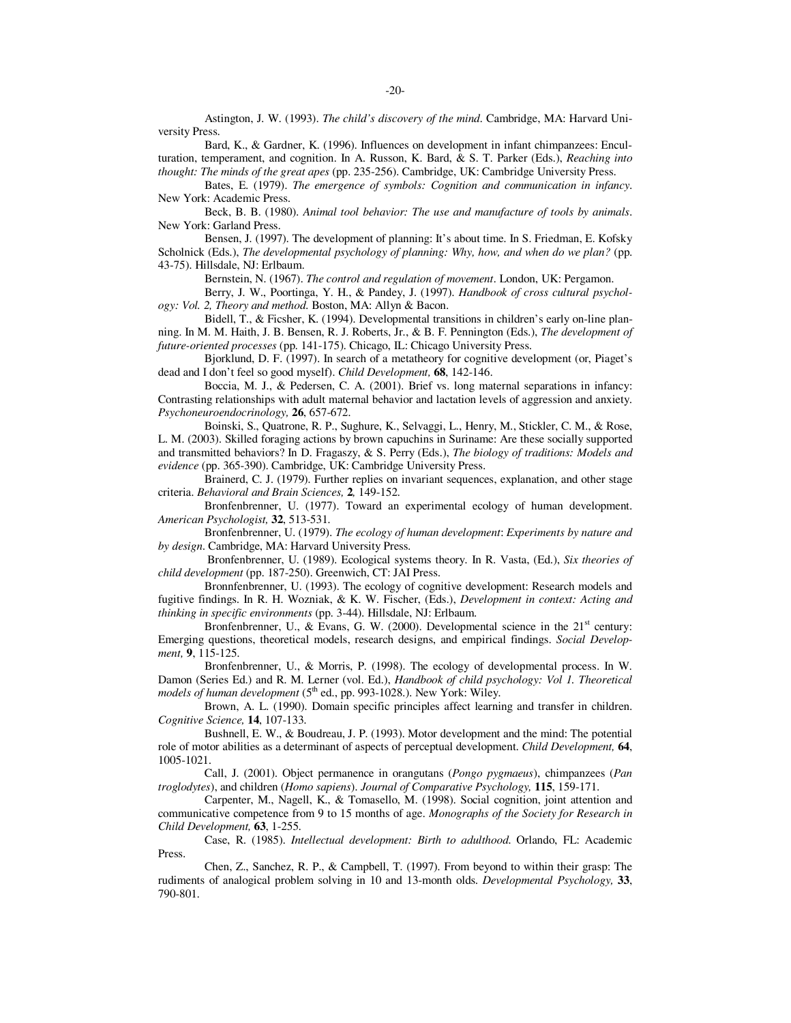Astington, J. W. (1993). *The child's discovery of the mind*. Cambridge, MA: Harvard University Press.

Bard, K., & Gardner, K. (1996). Influences on development in infant chimpanzees: Enculturation, temperament, and cognition. In A. Russon, K. Bard, & S. T. Parker (Eds.), *Reaching into thought: The minds of the great apes* (pp. 235-256). Cambridge, UK: Cambridge University Press.

Bates, E. (1979). *The emergence of symbols: Cognition and communication in infancy*. New York: Academic Press.

Beck, B. B. (1980). *Animal tool behavior: The use and manufacture of tools by animals*. New York: Garland Press.

Bensen, J. (1997). The development of planning: It's about time. In S. Friedman, E. Kofsky Scholnick (Eds.), *The developmental psychology of planning: Why, how, and when do we plan?* (pp. 43-75). Hillsdale, NJ: Erlbaum.

Bernstein, N. (1967). *The control and regulation of movement*. London, UK: Pergamon.

Berry, J. W., Poortinga, Y. H., & Pandey, J. (1997). *Handbook of cross cultural psychology: Vol. 2, Theory and method*. Boston, MA: Allyn & Bacon.

Bidell, T., & Ficsher, K. (1994). Developmental transitions in children's early on-line planning. In M. M. Haith, J. B. Bensen, R. J. Roberts, Jr., & B. F. Pennington (Eds.), *The development of future-oriented processes* (pp. 141-175). Chicago, IL: Chicago University Press.

Bjorklund, D. F. (1997). In search of a metatheory for cognitive development (or, Piaget's dead and I don't feel so good myself). *Child Development,* **68**, 142-146.

Boccia, M. J., & Pedersen, C. A. (2001). Brief vs. long maternal separations in infancy: Contrasting relationships with adult maternal behavior and lactation levels of aggression and anxiety. *Psychoneuroendocrinology,* **26**, 657-672.

Boinski, S., Quatrone, R. P., Sughure, K., Selvaggi, L., Henry, M., Stickler, C. M., & Rose, L. M. (2003). Skilled foraging actions by brown capuchins in Suriname: Are these socially supported and transmitted behaviors? In D. Fragaszy, & S. Perry (Eds.), *The biology of traditions: Models and evidence* (pp. 365-390). Cambridge, UK: Cambridge University Press.

Brainerd, C. J. (1979). Further replies on invariant sequences, explanation, and other stage criteria. *Behavioral and Brain Sciences,* **2***,* 149-152.

Bronfenbrenner, U. (1977). Toward an experimental ecology of human development. *American Psychologist,* **32**, 513-531.

Bronfenbrenner, U. (1979). *The ecology of human development*: *Experiments by nature and by design*. Cambridge, MA: Harvard University Press.

 Bronfenbrenner, U. (1989). Ecological systems theory. In R. Vasta, (Ed.), *Six theories of child development* (pp. 187-250). Greenwich, CT: JAI Press.

Bronnfenbrenner, U. (1993). The ecology of cognitive development: Research models and fugitive findings. In R. H. Wozniak, & K. W. Fischer, (Eds.), *Development in context: Acting and thinking in specific environments* (pp. 3-44). Hillsdale, NJ: Erlbaum.

Bronfenbrenner, U., & Evans, G. W. (2000). Developmental science in the  $21<sup>st</sup>$  century: Emerging questions, theoretical models, research designs, and empirical findings. *Social Development,* **9**, 115-125.

Bronfenbrenner, U., & Morris, P. (1998). The ecology of developmental process. In W. Damon (Series Ed.) and R. M. Lerner (vol. Ed.), *Handbook of child psychology: Vol 1. Theoretical*  models of human development (5<sup>th</sup> ed., pp. 993-1028.). New York: Wiley.

Brown, A. L. (1990). Domain specific principles affect learning and transfer in children. *Cognitive Science,* **14**, 107-133.

Bushnell, E. W., & Boudreau, J. P. (1993). Motor development and the mind: The potential role of motor abilities as a determinant of aspects of perceptual development. *Child Development,* **64**, 1005-1021.

Call, J. (2001). Object permanence in orangutans (*Pongo pygmaeus*), chimpanzees (*Pan troglodytes*), and children (*Homo sapiens*). *Journal of Comparative Psychology,* **115**, 159-171.

Carpenter, M., Nagell, K., & Tomasello, M. (1998). Social cognition, joint attention and communicative competence from 9 to 15 months of age. *Monographs of the Society for Research in Child Development,* **63**, 1-255.

Case, R. (1985). *Intellectual development: Birth to adulthood*. Orlando, FL: Academic Press.

Chen, Z., Sanchez, R. P., & Campbell, T. (1997). From beyond to within their grasp: The rudiments of analogical problem solving in 10 and 13-month olds. *Developmental Psychology,* **33**, 790-801.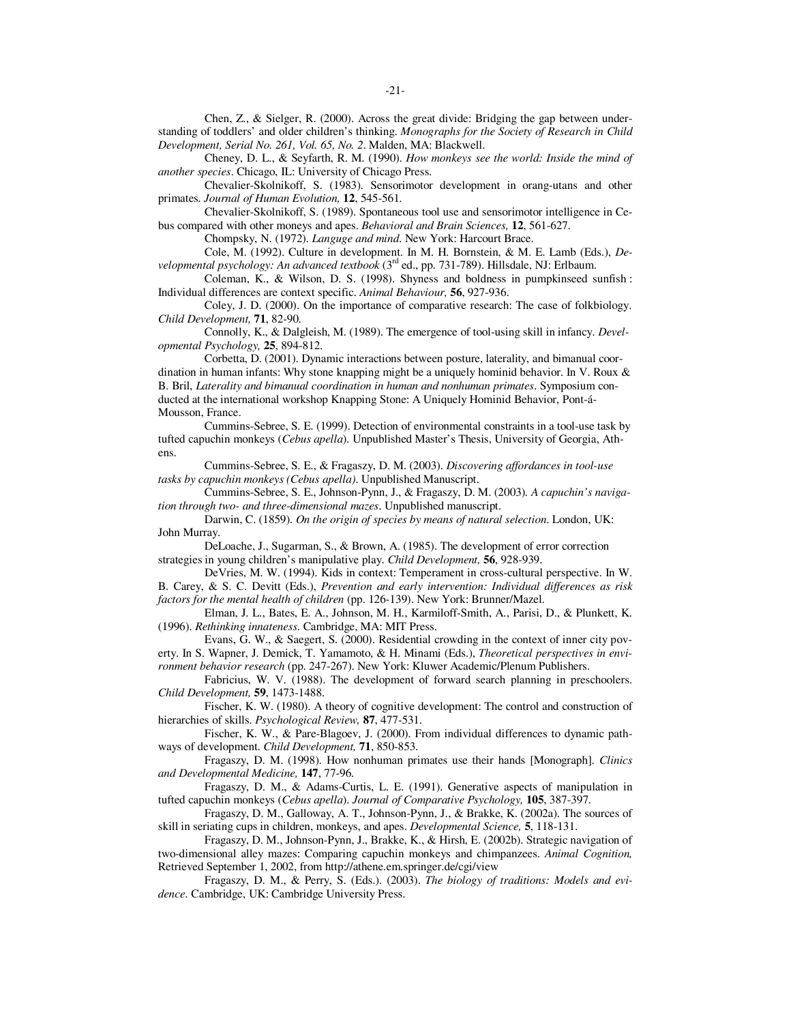Chen, Z., & Sielger, R. (2000). Across the great divide: Bridging the gap between understanding of toddlers' and older children's thinking. *Monographs for the Society of Research in Child Development, Serial No. 261, Vol. 65, No. 2*. Malden, MA: Blackwell.

Cheney, D. L., & Seyfarth, R. M. (1990). *How monkeys see the world: Inside the mind of another species*. Chicago, IL: University of Chicago Press.

Chevalier-Skolnikoff, S. (1983). Sensorimotor development in orang-utans and other primates. *Journal of Human Evolution,* **12**, 545-561.

Chevalier-Skolnikoff, S. (1989). Spontaneous tool use and sensorimotor intelligence in Cebus compared with other moneys and apes. *Behavioral and Brain Sciences,* **12**, 561-627.

Chompsky, N. (1972). *Languge and mind*. New York: Harcourt Brace.

Cole, M. (1992). Culture in development. In M. H. Bornstein, & M. E. Lamb (Eds.), *Developmental psychology: An advanced textbook* (3rd ed., pp. 731-789). Hillsdale, NJ: Erlbaum.

Coleman, K., & Wilson, D. S. (1998). Shyness and boldness in pumpkinseed sunfish : Individual differences are context specific. *Animal Behaviour,* **56**, 927-936.

Coley, J. D. (2000). On the importance of comparative research: The case of folkbiology. *Child Development,* **71**, 82-90.

Connolly, K., & Dalgleish, M. (1989). The emergence of tool-using skill in infancy. *Developmental Psychology,* **25**, 894-812.

Corbetta, D. (2001). Dynamic interactions between posture, laterality, and bimanual coordination in human infants: Why stone knapping might be a uniquely hominid behavior. In V. Roux & B. Bril, *Laterality and bimanual coordination in human and nonhuman primates*. Symposium conducted at the international workshop Knapping Stone: A Uniquely Hominid Behavior, Pont-á-Mousson, France.

Cummins-Sebree, S. E. (1999). Detection of environmental constraints in a tool-use task by tufted capuchin monkeys (*Cebus apella*). Unpublished Master's Thesis, University of Georgia, Athens.

Cummins-Sebree, S. E., & Fragaszy, D. M. (2003). *Discovering affordances in tool-use tasks by capuchin monkeys (Cebus apella)*. Unpublished Manuscript.

Cummins-Sebree, S. E., Johnson-Pynn, J., & Fragaszy, D. M. (2003)*. A capuchin's navigation through two- and three-dimensional mazes*. Unpublished manuscript.

Darwin, C. (1859). *On the origin of species by means of natural selection*. London, UK: John Murray.

DeLoache, J., Sugarman, S., & Brown, A. (1985). The development of error correction strategies in young children's manipulative play. *Child Development,* **56**, 928-939.

DeVries, M. W. (1994). Kids in context: Temperament in cross-cultural perspective. In W. B. Carey, & S. C. Devitt (Eds.), *Prevention and early intervention: Individual differences as risk factors for the mental health of children* (pp. 126-139). New York: Brunner/Mazel.

Elman, J. L., Bates, E. A., Johnson, M. H., Karmiloff-Smith, A., Parisi, D., & Plunkett, K. (1996). *Rethinking innateness*. Cambridge, MA: MIT Press.

Evans, G. W., & Saegert, S. (2000). Residential crowding in the context of inner city poverty. In S. Wapner, J. Demick, T. Yamamoto, & H. Minami (Eds.), *Theoretical perspectives in environment behavior research* (pp. 247-267). New York: Kluwer Academic/Plenum Publishers.

Fabricius, W. V. (1988). The development of forward search planning in preschoolers. *Child Development,* **59**, 1473-1488.

Fischer, K. W. (1980). A theory of cognitive development: The control and construction of hierarchies of skills. *Psychological Review,* **87**, 477-531.

Fischer, K. W., & Pare-Blagoev, J. (2000). From individual differences to dynamic pathways of development. *Child Development,* **71**, 850-853.

Fragaszy, D. M. (1998). How nonhuman primates use their hands [Monograph]. *Clinics and Developmental Medicine,* **147**, 77-96.

Fragaszy, D. M., & Adams-Curtis, L. E. (1991). Generative aspects of manipulation in tufted capuchin monkeys (*Cebus apella*). *Journal of Comparative Psychology,* **105**, 387-397.

Fragaszy, D. M., Galloway, A. T., Johnson-Pynn, J., & Brakke, K. (2002a). The sources of skill in seriating cups in children, monkeys, and apes. *Developmental Science,* **5**, 118-131.

Fragaszy, D. M., Johnson-Pynn, J., Brakke, K., & Hirsh, E. (2002b). Strategic navigation of two-dimensional alley mazes: Comparing capuchin monkeys and chimpanzees. *Animal Cognition,*  Retrieved September 1, 2002, from http://athene.em.springer.de/cgi/view

Fragaszy, D. M., & Perry, S. (Eds.). (2003). *The biology of traditions: Models and evidence*. Cambridge, UK: Cambridge University Press.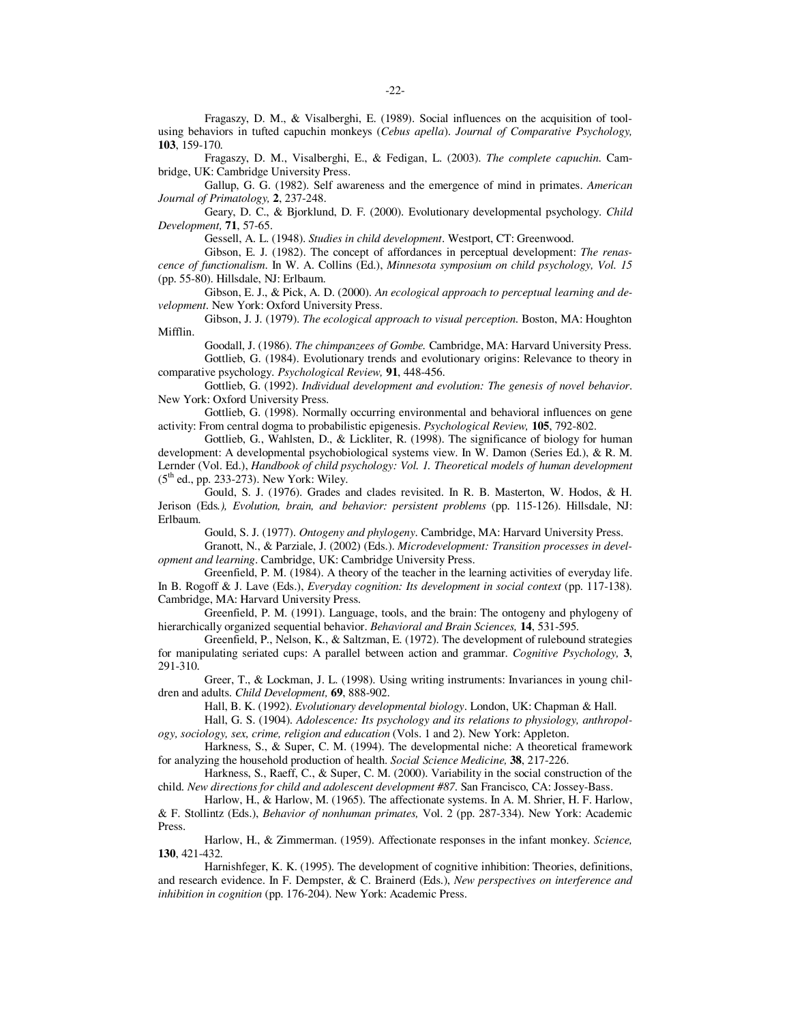Fragaszy, D. M., & Visalberghi, E. (1989). Social influences on the acquisition of toolusing behaviors in tufted capuchin monkeys (*Cebus apella*). *Journal of Comparative Psychology,*  **103**, 159-170.

Fragaszy, D. M., Visalberghi, E., & Fedigan, L. (2003). *The complete capuchin*. Cambridge, UK: Cambridge University Press.

Gallup, G. G. (1982). Self awareness and the emergence of mind in primates. *American Journal of Primatology,* **2**, 237-248.

Geary, D. C., & Bjorklund, D. F. (2000). Evolutionary developmental psychology. *Child Development,* **71**, 57-65.

Gessell, A. L. (1948). *Studies in child development*. Westport, CT: Greenwood.

Gibson, E. J. (1982). The concept of affordances in perceptual development: *The renascence of functionalism*. In W. A. Collins (Ed.), *Minnesota symposium on child psychology, Vol. 15* (pp. 55-80). Hillsdale, NJ: Erlbaum.

Gibson, E. J., & Pick, A. D. (2000). *An ecological approach to perceptual learning and development*. New York: Oxford University Press.

Gibson, J. J. (1979). *The ecological approach to visual perception*. Boston, MA: Houghton Mifflin.

Goodall, J. (1986). *The chimpanzees of Gombe.* Cambridge, MA: Harvard University Press. Gottlieb, G. (1984). Evolutionary trends and evolutionary origins: Relevance to theory in

comparative psychology. *Psychological Review,* **91**, 448-456.

Gottlieb, G. (1992). *Individual development and evolution: The genesis of novel behavior*. New York: Oxford University Press.

Gottlieb, G. (1998). Normally occurring environmental and behavioral influences on gene activity: From central dogma to probabilistic epigenesis. *Psychological Review,* **105**, 792-802.

Gottlieb, G., Wahlsten, D., & Lickliter, R. (1998). The significance of biology for human development: A developmental psychobiological systems view. In W. Damon (Series Ed.), & R. M. Lernder (Vol. Ed.), *Handbook of child psychology: Vol. 1. Theoretical models of human development*  $(5<sup>th</sup>$  ed., pp. 233-273). New York: Wiley.

Gould, S. J. (1976). Grades and clades revisited. In R. B. Masterton, W. Hodos, & H. Jerison (Eds*.), Evolution, brain, and behavior: persistent problems* (pp. 115-126). Hillsdale, NJ: Erlbaum.

Gould, S. J. (1977). *Ontogeny and phylogeny*. Cambridge, MA: Harvard University Press.

Granott, N., & Parziale, J. (2002) (Eds.). *Microdevelopment: Transition processes in development and learning*. Cambridge, UK: Cambridge University Press.

Greenfield, P. M. (1984). A theory of the teacher in the learning activities of everyday life. In B. Rogoff & J. Lave (Eds.), *Everyday cognition: Its development in social context* (pp. 117-138). Cambridge, MA: Harvard University Press.

Greenfield, P. M. (1991). Language, tools, and the brain: The ontogeny and phylogeny of hierarchically organized sequential behavior. *Behavioral and Brain Sciences,* **14**, 531-595.

Greenfield, P., Nelson, K., & Saltzman, E. (1972). The development of rulebound strategies for manipulating seriated cups: A parallel between action and grammar. *Cognitive Psychology,* **3**, 291-310.

Greer, T., & Lockman, J. L. (1998). Using writing instruments: Invariances in young children and adults. *Child Development,* **69**, 888-902.

Hall, B. K. (1992). *Evolutionary developmental biology*. London, UK: Chapman & Hall.

Hall, G. S. (1904). *Adolescence: Its psychology and its relations to physiology, anthropology, sociology, sex, crime, religion and education* (Vols. 1 and 2). New York: Appleton.

Harkness, S., & Super, C. M. (1994). The developmental niche: A theoretical framework for analyzing the household production of health. *Social Science Medicine,* **38**, 217-226.

Harkness, S., Raeff, C., & Super, C. M. (2000). Variability in the social construction of the child. *New directions for child and adolescent development #87*. San Francisco, CA: Jossey-Bass.

Harlow, H., & Harlow, M. (1965). The affectionate systems. In A. M. Shrier, H. F. Harlow, & F. Stollintz (Eds.), *Behavior of nonhuman primates,* Vol. 2 (pp. 287-334). New York: Academic Press.

Harlow, H., & Zimmerman. (1959). Affectionate responses in the infant monkey. *Science,*  **130**, 421-432.

Harnishfeger, K. K. (1995). The development of cognitive inhibition: Theories, definitions, and research evidence. In F. Dempster, & C. Brainerd (Eds.), *New perspectives on interference and inhibition in cognition* (pp. 176-204). New York: Academic Press.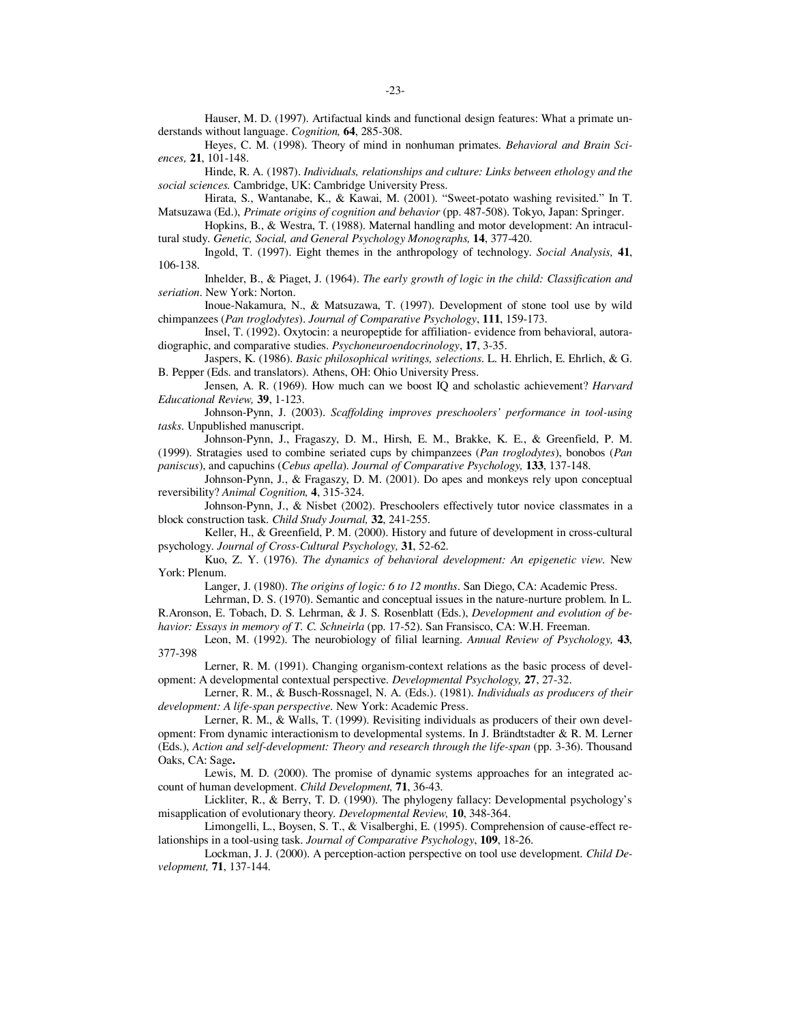Hauser, M. D. (1997). Artifactual kinds and functional design features: What a primate understands without language. *Cognition,* **64**, 285-308.

Heyes, C. M. (1998). Theory of mind in nonhuman primates. *Behavioral and Brain Sciences,* **21**, 101-148.

Hinde, R. A. (1987). *Individuals, relationships and culture: Links between ethology and the social sciences.* Cambridge, UK: Cambridge University Press.

Hirata, S., Wantanabe, K., & Kawai, M. (2001). "Sweet-potato washing revisited." In T. Matsuzawa (Ed.), *Primate origins of cognition and behavior* (pp. 487-508). Tokyo, Japan: Springer.

Hopkins, B., & Westra, T. (1988). Maternal handling and motor development: An intracultural study. *Genetic, Social, and General Psychology Monographs,* **14**, 377-420.

Ingold, T. (1997). Eight themes in the anthropology of technology. *Social Analysis,* **41**, 106-138.

Inhelder, B., & Piaget, J. (1964). *The early growth of logic in the child: Classification and seriation*. New York: Norton.

Inoue-Nakamura, N., & Matsuzawa, T. (1997). Development of stone tool use by wild chimpanzees (*Pan troglodytes*). *Journal of Comparative Psychology*, **111**, 159-173.

Insel, T. (1992). Oxytocin: a neuropeptide for affiliation- evidence from behavioral, autoradiographic, and comparative studies. *Psychoneuroendocrinology*, **17**, 3-35.

Jaspers, K. (1986). *Basic philosophical writings, selections*. L. H. Ehrlich, E. Ehrlich, & G. B. Pepper (Eds. and translators). Athens, OH: Ohio University Press.

Jensen, A. R. (1969). How much can we boost IQ and scholastic achievement? *Harvard Educational Review,* **39**, 1-123.

Johnson-Pynn, J. (2003). *Scaffolding improves preschoolers' performance in tool-using tasks*. Unpublished manuscript.

Johnson-Pynn, J., Fragaszy, D. M., Hirsh, E. M., Brakke, K. E., & Greenfield, P. M. (1999). Stratagies used to combine seriated cups by chimpanzees (*Pan troglodytes*), bonobos (*Pan paniscus*), and capuchins (*Cebus apella*). *Journal of Comparative Psychology,* **133**, 137-148.

Johnson-Pynn, J., & Fragaszy, D. M. (2001). Do apes and monkeys rely upon conceptual reversibility? *Animal Cognition,* **4**, 315-324.

Johnson-Pynn, J., & Nisbet (2002). Preschoolers effectively tutor novice classmates in a block construction task. *Child Study Journal,* **32**, 241-255.

Keller, H., & Greenfield, P. M. (2000). History and future of development in cross-cultural psychology. *Journal of Cross-Cultural Psychology,* **31**, 52-62.

Kuo, Z. Y. (1976). *The dynamics of behavioral development: An epigenetic view*. New York: Plenum.

Langer, J. (1980). *The origins of logic: 6 to 12 months*. San Diego, CA: Academic Press.

Lehrman, D. S. (1970). Semantic and conceptual issues in the nature-nurture problem. In L. R.Aronson, E. Tobach, D. S. Lehrman, & J. S. Rosenblatt (Eds.), *Development and evolution of behavior: Essays in memory of T. C. Schneirla* (pp. 17-52). San Fransisco, CA: W.H. Freeman.

Leon, M. (1992). The neurobiology of filial learning. *Annual Review of Psychology,* **43**, 377-398

Lerner, R. M. (1991). Changing organism-context relations as the basic process of development: A developmental contextual perspective. *Developmental Psychology,* **27**, 27-32.

Lerner, R. M., & Busch-Rossnagel, N. A. (Eds.). (1981). *Individuals as producers of their development: A life-span perspective*. New York: Academic Press.

Lerner, R. M., & Walls, T. (1999). Revisiting individuals as producers of their own development: From dynamic interactionism to developmental systems. In J. Brändtstadter & R. M. Lerner (Eds.), *Action and self-development: Theory and research through the life-span* (pp. 3-36). Thousand Oaks, CA: Sage**.** 

Lewis, M. D. (2000). The promise of dynamic systems approaches for an integrated account of human development. *Child Development,* **71**, 36-43.

Lickliter, R., & Berry, T. D. (1990). The phylogeny fallacy: Developmental psychology's misapplication of evolutionary theory. *Developmental Review,* **10**, 348-364.

Limongelli, L., Boysen, S. T., & Visalberghi, E. (1995). Comprehension of cause-effect relationships in a tool-using task. *Journal of Comparative Psychology*, **109**, 18-26.

Lockman, J. J. (2000). A perception-action perspective on tool use development. *Child Development,* **71**, 137-144.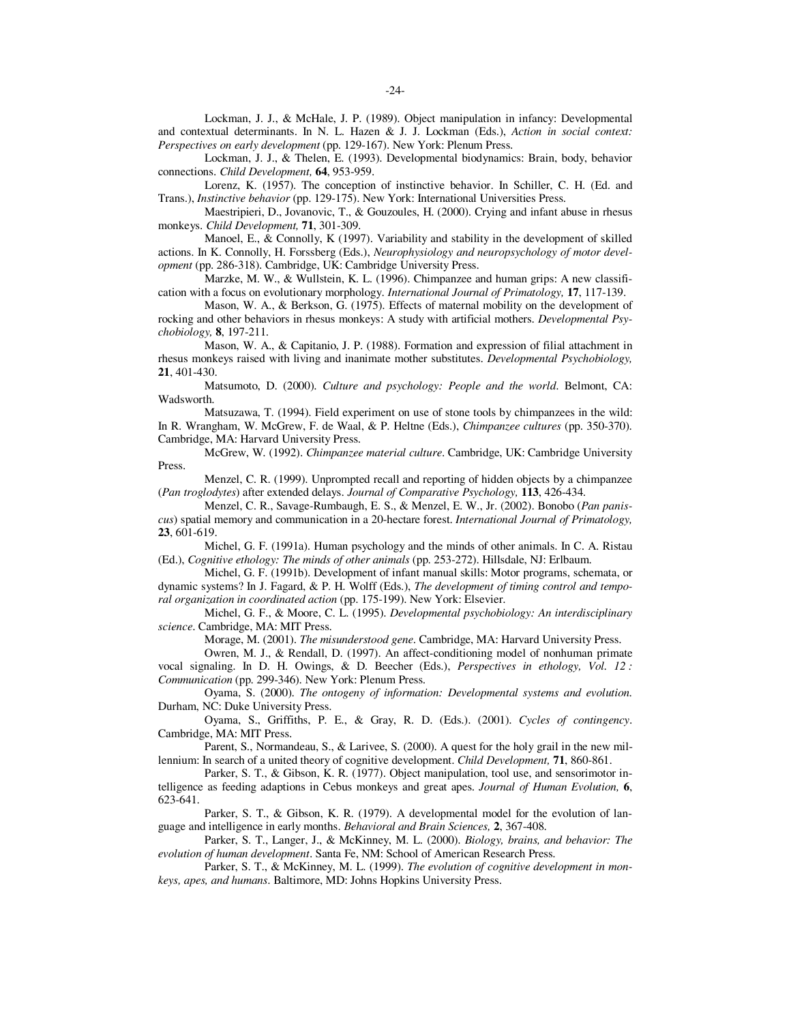Lockman, J. J., & McHale, J. P. (1989). Object manipulation in infancy: Developmental and contextual determinants. In N. L. Hazen & J. J. Lockman (Eds.), *Action in social context: Perspectives on early development* (pp. 129-167). New York: Plenum Press.

Lockman, J. J., & Thelen, E. (1993). Developmental biodynamics: Brain, body, behavior connections. *Child Development,* **64**, 953-959.

Lorenz, K. (1957). The conception of instinctive behavior. In Schiller, C. H. (Ed. and Trans.), *Instinctive behavior* (pp. 129-175). New York: International Universities Press.

Maestripieri, D., Jovanovic, T., & Gouzoules, H. (2000). Crying and infant abuse in rhesus monkeys. *Child Development,* **71**, 301-309.

Manoel, E., & Connolly, K (1997). Variability and stability in the development of skilled actions. In K. Connolly, H. Forssberg (Eds.), *Neurophysiology and neuropsychology of motor development* (pp. 286-318). Cambridge, UK: Cambridge University Press.

Marzke, M. W., & Wullstein, K. L. (1996). Chimpanzee and human grips: A new classification with a focus on evolutionary morphology. *International Journal of Primatology,* **17**, 117-139.

Mason, W. A., & Berkson, G. (1975). Effects of maternal mobility on the development of rocking and other behaviors in rhesus monkeys: A study with artificial mothers. *Developmental Psychobiology,* **8**, 197-211.

Mason, W. A., & Capitanio, J. P. (1988). Formation and expression of filial attachment in rhesus monkeys raised with living and inanimate mother substitutes. *Developmental Psychobiology,*  **21**, 401-430.

Matsumoto, D. (2000). *Culture and psychology: People and the world*. Belmont, CA: Wadsworth.

Matsuzawa, T. (1994). Field experiment on use of stone tools by chimpanzees in the wild: In R. Wrangham, W. McGrew, F. de Waal, & P. Heltne (Eds.), *Chimpanzee cultures* (pp. 350-370). Cambridge, MA: Harvard University Press.

McGrew, W. (1992). *Chimpanzee material culture*. Cambridge, UK: Cambridge University Press.

Menzel, C. R. (1999). Unprompted recall and reporting of hidden objects by a chimpanzee (*Pan troglodytes*) after extended delays. *Journal of Comparative Psychology,* **113**, 426-434.

Menzel, C. R., Savage-Rumbaugh, E. S., & Menzel, E. W., Jr. (2002). Bonobo (*Pan paniscus*) spatial memory and communication in a 20-hectare forest. *International Journal of Primatology,*  **23**, 601-619.

Michel, G. F. (1991a). Human psychology and the minds of other animals. In C. A. Ristau (Ed.), *Cognitive ethology: The minds of other animals* (pp. 253-272). Hillsdale, NJ: Erlbaum.

Michel, G. F. (1991b). Development of infant manual skills: Motor programs, schemata, or dynamic systems? In J. Fagard, & P. H. Wolff (Eds.), *The development of timing control and temporal organization in coordinated action* (pp. 175-199). New York: Elsevier.

Michel, G. F., & Moore, C. L. (1995). *Developmental psychobiology: An interdisciplinary science*. Cambridge, MA: MIT Press.

Morage, M. (2001). *The misunderstood gene*. Cambridge, MA: Harvard University Press.

Owren, M. J., & Rendall, D. (1997). An affect-conditioning model of nonhuman primate vocal signaling. In D. H. Owings, & D. Beecher (Eds.), *Perspectives in ethology, Vol. 12 : Communication* (pp. 299-346). New York: Plenum Press.

Oyama, S. (2000). *The ontogeny of information: Developmental systems and evolution.* Durham, NC: Duke University Press.

Oyama, S., Griffiths, P. E., & Gray, R. D. (Eds.). (2001). *Cycles of contingency*. Cambridge, MA: MIT Press.

Parent, S., Normandeau, S., & Larivee, S. (2000). A quest for the holy grail in the new millennium: In search of a united theory of cognitive development. *Child Development,* **71**, 860-861.

Parker, S. T., & Gibson, K. R. (1977). Object manipulation, tool use, and sensorimotor intelligence as feeding adaptions in Cebus monkeys and great apes. *Journal of Human Evolution,* **6**, 623-641.

Parker, S. T., & Gibson, K. R. (1979). A developmental model for the evolution of language and intelligence in early months. *Behavioral and Brain Sciences,* **2**, 367-408.

Parker, S. T., Langer, J., & McKinney, M. L. (2000). *Biology, brains, and behavior: The evolution of human development*. Santa Fe, NM: School of American Research Press.

Parker, S. T., & McKinney, M. L. (1999). *The evolution of cognitive development in monkeys, apes, and humans*. Baltimore, MD: Johns Hopkins University Press.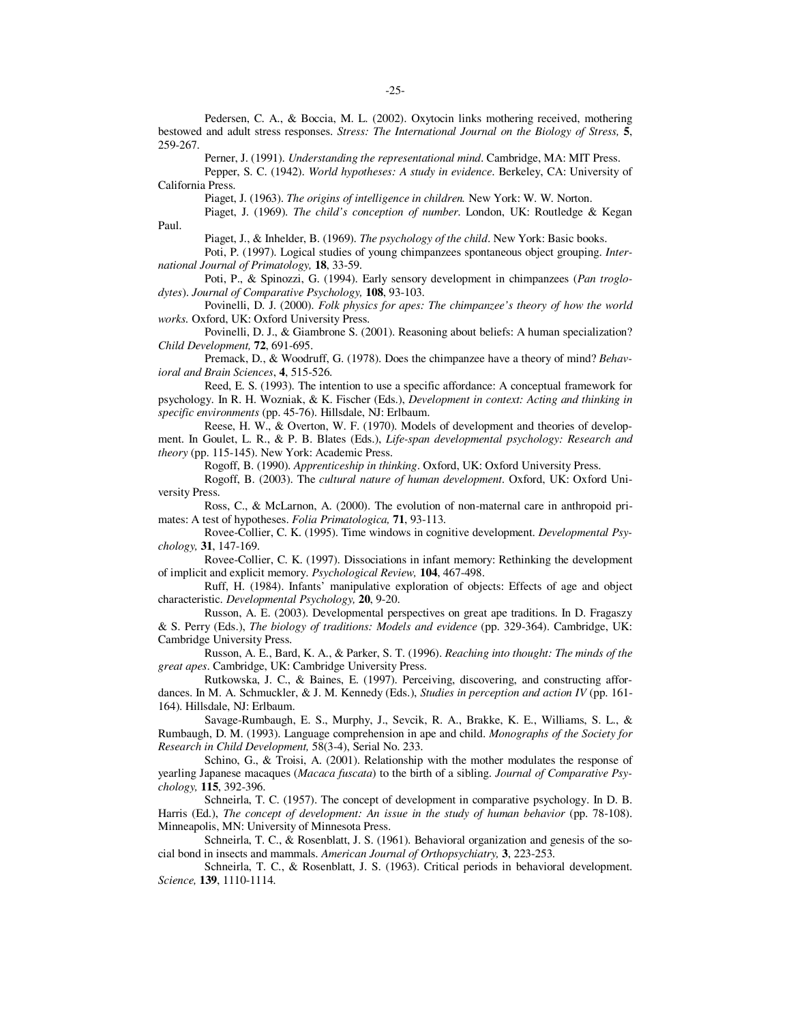Pedersen, C. A., & Boccia, M. L. (2002). Oxytocin links mothering received, mothering bestowed and adult stress responses. *Stress: The International Journal on the Biology of Stress,* **5**, 259-267.

Perner, J. (1991). *Understanding the representational mind*. Cambridge, MA: MIT Press.

Pepper, S. C. (1942). *World hypotheses: A study in evidence*. Berkeley, CA: University of California Press.

Piaget, J. (1963). *The origins of intelligence in children.* New York: W. W. Norton.

Piaget, J. (1969). *The child's conception of number*. London, UK: Routledge & Kegan Paul.

Piaget, J., & Inhelder, B. (1969). *The psychology of the child*. New York: Basic books.

Poti, P. (1997). Logical studies of young chimpanzees spontaneous object grouping. *International Journal of Primatology,* **18**, 33-59.

Poti, P., & Spinozzi, G. (1994). Early sensory development in chimpanzees (*Pan troglodytes*). *Journal of Comparative Psychology,* **108**, 93-103.

Povinelli, D. J. (2000). *Folk physics for apes: The chimpanzee's theory of how the world works.* Oxford, UK: Oxford University Press.

Povinelli, D. J., & Giambrone S. (2001). Reasoning about beliefs: A human specialization? *Child Development,* **72**, 691-695.

Premack, D., & Woodruff, G. (1978). Does the chimpanzee have a theory of mind? *Behavioral and Brain Sciences*, **4**, 515-526.

Reed, E. S. (1993). The intention to use a specific affordance: A conceptual framework for psychology. In R. H. Wozniak, & K. Fischer (Eds.), *Development in context: Acting and thinking in specific environments* (pp. 45-76). Hillsdale, NJ: Erlbaum.

Reese, H. W., & Overton, W. F. (1970). Models of development and theories of development. In Goulet, L. R., & P. B. Blates (Eds.), *Life-span developmental psychology: Research and theory* (pp. 115-145). New York: Academic Press.

Rogoff, B. (1990). *Apprenticeship in thinking*. Oxford, UK: Oxford University Press.

Rogoff, B. (2003). The *cultural nature of human development*. Oxford, UK: Oxford University Press.

Ross, C., & McLarnon, A. (2000). The evolution of non-maternal care in anthropoid primates: A test of hypotheses. *Folia Primatologica,* **71**, 93-113.

Rovee-Collier, C. K. (1995). Time windows in cognitive development. *Developmental Psychology,* **31**, 147-169.

Rovee-Collier, C. K. (1997). Dissociations in infant memory: Rethinking the development of implicit and explicit memory. *Psychological Review,* **104**, 467-498.

Ruff, H. (1984). Infants' manipulative exploration of objects: Effects of age and object characteristic. *Developmental Psychology,* **20**, 9-20.

Russon, A. E. (2003). Developmental perspectives on great ape traditions. In D. Fragaszy & S. Perry (Eds.), *The biology of traditions: Models and evidence* (pp. 329-364). Cambridge, UK: Cambridge University Press.

Russon, A. E., Bard, K. A., & Parker, S. T. (1996). *Reaching into thought: The minds of the great apes*. Cambridge, UK: Cambridge University Press.

Rutkowska, J. C., & Baines, E. (1997). Perceiving, discovering, and constructing affordances. In M. A. Schmuckler, & J. M. Kennedy (Eds.), *Studies in perception and action IV* (pp. 161- 164). Hillsdale, NJ: Erlbaum.

Savage-Rumbaugh, E. S., Murphy, J., Sevcik, R. A., Brakke, K. E., Williams, S. L., & Rumbaugh, D. M. (1993). Language comprehension in ape and child. *Monographs of the Society for Research in Child Development,* 58(3-4), Serial No. 233.

Schino, G., & Troisi, A. (2001). Relationship with the mother modulates the response of yearling Japanese macaques (*Macaca fuscata*) to the birth of a sibling. *Journal of Comparative Psychology,* **115**, 392-396.

Schneirla, T. C. (1957). The concept of development in comparative psychology. In D. B. Harris (Ed.), *The concept of development: An issue in the study of human behavior* (pp. 78-108). Minneapolis, MN: University of Minnesota Press.

Schneirla, T. C., & Rosenblatt, J. S. (1961). Behavioral organization and genesis of the social bond in insects and mammals. *American Journal of Orthopsychiatry,* **3**, 223-253.

Schneirla, T. C., & Rosenblatt, J. S. (1963). Critical periods in behavioral development. *Science,* **139**, 1110-1114.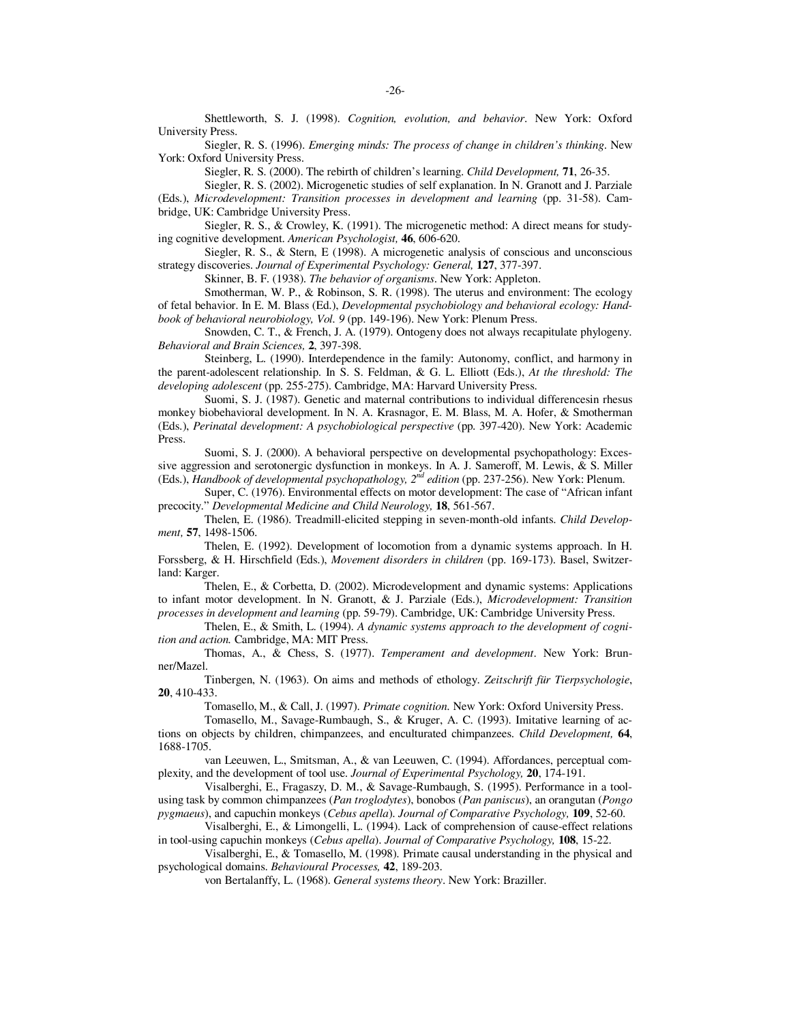Shettleworth, S. J. (1998). *Cognition, evolution, and behavior*. New York: Oxford University Press.

Siegler, R. S. (1996). *Emerging minds: The process of change in children's thinking*. New York: Oxford University Press.

Siegler, R. S. (2000). The rebirth of children's learning. *Child Development,* **71**, 26-35.

Siegler, R. S. (2002). Microgenetic studies of self explanation. In N. Granott and J. Parziale (Eds.), *Microdevelopment: Transition processes in development and learning* (pp. 31-58). Cambridge, UK: Cambridge University Press.

Siegler, R. S., & Crowley, K. (1991). The microgenetic method: A direct means for studying cognitive development. *American Psychologist,* **46**, 606-620.

Siegler, R. S., & Stern, E (1998). A microgenetic analysis of conscious and unconscious strategy discoveries. *Journal of Experimental Psychology: General,* **127**, 377-397.

Skinner, B. F. (1938). *The behavior of organisms*. New York: Appleton.

Smotherman, W. P., & Robinson, S. R. (1998). The uterus and environment: The ecology of fetal behavior. In E. M. Blass (Ed.), *Developmental psychobiology and behavioral ecology: Handbook of behavioral neurobiology, Vol. 9* (pp. 149-196). New York: Plenum Press.

Snowden, C. T., & French, J. A. (1979). Ontogeny does not always recapitulate phylogeny. *Behavioral and Brain Sciences,* **2**, 397-398.

Steinberg, L. (1990). Interdependence in the family: Autonomy, conflict, and harmony in the parent-adolescent relationship. In S. S. Feldman, & G. L. Elliott (Eds.), *At the threshold: The developing adolescent* (pp. 255-275). Cambridge, MA: Harvard University Press.

Suomi, S. J. (1987). Genetic and maternal contributions to individual differencesin rhesus monkey biobehavioral development. In N. A. Krasnagor, E. M. Blass, M. A. Hofer, & Smotherman (Eds.), *Perinatal development: A psychobiological perspective* (pp. 397-420). New York: Academic Press.

Suomi, S. J. (2000). A behavioral perspective on developmental psychopathology: Excessive aggression and serotonergic dysfunction in monkeys. In A. J. Sameroff, M. Lewis, & S. Miller (Eds.), *Handbook of developmental psychopathology*,  $2^{nd}$  *edition* (pp. 237-256). New York: Plenum.

Super, C. (1976). Environmental effects on motor development: The case of "African infant precocity." *Developmental Medicine and Child Neurology,* **18**, 561-567.

Thelen, E. (1986). Treadmill-elicited stepping in seven-month-old infants. *Child Development,* **57**, 1498-1506.

Thelen, E. (1992). Development of locomotion from a dynamic systems approach. In H. Forssberg, & H. Hirschfield (Eds.), *Movement disorders in children* (pp. 169-173). Basel, Switzerland: Karger.

Thelen, E., & Corbetta, D. (2002). Microdevelopment and dynamic systems: Applications to infant motor development. In N. Granott, & J. Parziale (Eds.), *Microdevelopment: Transition processes in development and learning* (pp. 59-79). Cambridge, UK: Cambridge University Press.

Thelen, E., & Smith, L. (1994). *A dynamic systems approach to the development of cognition and action.* Cambridge, MA: MIT Press.

Thomas, A., & Chess, S. (1977). *Temperament and development*. New York: Brunner/Mazel.

Tinbergen, N. (1963). On aims and methods of ethology. *Zeitschrift für Tierpsychologie*, **20**, 410-433.

Tomasello, M., & Call, J. (1997). *Primate cognition*. New York: Oxford University Press.

Tomasello, M., Savage-Rumbaugh, S., & Kruger, A. C. (1993). Imitative learning of actions on objects by children, chimpanzees, and enculturated chimpanzees. *Child Development,* **64**, 1688-1705.

van Leeuwen, L., Smitsman, A., & van Leeuwen, C. (1994). Affordances, perceptual complexity, and the development of tool use. *Journal of Experimental Psychology,* **20**, 174-191.

Visalberghi, E., Fragaszy, D. M., & Savage-Rumbaugh, S. (1995). Performance in a toolusing task by common chimpanzees (*Pan troglodytes*), bonobos (*Pan paniscus*), an orangutan (*Pongo pygmaeus*), and capuchin monkeys (*Cebus apella*). *Journal of Comparative Psychology,* **109**, 52-60.

Visalberghi, E., & Limongelli, L. (1994). Lack of comprehension of cause-effect relations in tool-using capuchin monkeys (*Cebus apella*). *Journal of Comparative Psychology,* **108**, 15-22.

Visalberghi, E., & Tomasello, M. (1998). Primate causal understanding in the physical and psychological domains. *Behavioural Processes,* **42**, 189-203.

von Bertalanffy, L. (1968). *General systems theory*. New York: Braziller.